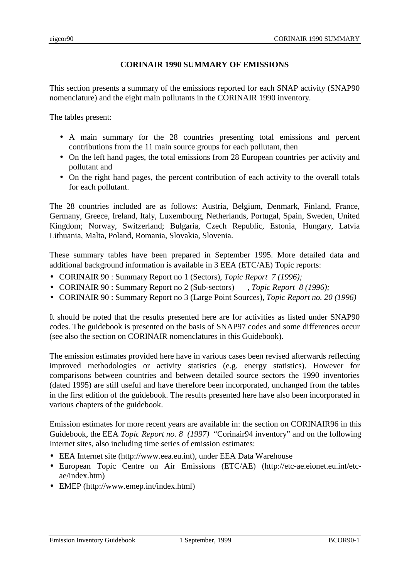## **CORINAIR 1990 SUMMARY OF EMISSIONS**

This section presents a summary of the emissions reported for each SNAP activity (SNAP90 nomenclature) and the eight main pollutants in the CORINAIR 1990 inventory.

The tables present:

- A main summary for the 28 countries presenting total emissions and percent contributions from the 11 main source groups for each pollutant, then
- On the left hand pages, the total emissions from 28 European countries per activity and pollutant and
- On the right hand pages, the percent contribution of each activity to the overall totals for each pollutant.

The 28 countries included are as follows: Austria, Belgium, Denmark, Finland, France, Germany, Greece, Ireland, Italy, Luxembourg, Netherlands, Portugal, Spain, Sweden, United Kingdom; Norway, Switzerland; Bulgaria, Czech Republic, Estonia, Hungary, Latvia Lithuania, Malta, Poland, Romania, Slovakia, Slovenia.

These summary tables have been prepared in September 1995. More detailed data and additional background information is available in 3 EEA (ETC/AE) Topic reports:

- CORINAIR 90 : Summary Report no 1 (Sectors), *Topic Report 7 (1996);*
- CORINAIR 90 : Summary Report no 2 (Sub-sectors) , *Topic Report 8 (1996);*
- CORINAIR 90 : Summary Report no 3 (Large Point Sources), *Topic Report no. 20 (1996)*

It should be noted that the results presented here are for activities as listed under SNAP90 codes. The guidebook is presented on the basis of SNAP97 codes and some differences occur (see also the section on CORINAIR nomenclatures in this Guidebook).

The emission estimates provided here have in various cases been revised afterwards reflecting improved methodologies or activity statistics (e.g. energy statistics). However for comparisons between countries and between detailed source sectors the 1990 inventories (dated 1995) are still useful and have therefore been incorporated, unchanged from the tables in the first edition of the guidebook. The results presented here have also been incorporated in various chapters of the guidebook.

Emission estimates for more recent years are available in: the section on CORINAIR96 in this Guidebook, the EEA *Topic Report no. 8 (1997)* "Corinair94 inventory" and on the following Internet sites, also including time series of emission estimates:

- EEA Internet site (http://www.eea.eu.int), under EEA Data Warehouse
- European Topic Centre on Air Emissions (ETC/AE) (http://etc-ae.eionet.eu.int/etcae/index.htm)
- EMEP (http://www.emep.int/index.html)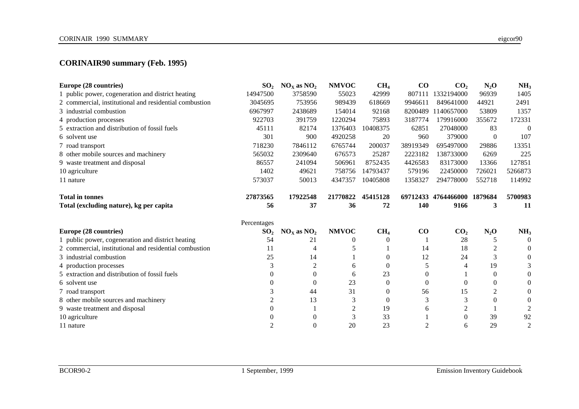# **CORINAIR90 summary (Feb. 1995)**

| Europe (28 countries)                                  | SO <sub>2</sub> | $NOx$ as $NO2$ | <b>NMVOC</b> | CH <sub>4</sub> | $\bf CO$ | CO <sub>2</sub>             | $N_2O$   | NH <sub>3</sub> |
|--------------------------------------------------------|-----------------|----------------|--------------|-----------------|----------|-----------------------------|----------|-----------------|
| 1 public power, cogeneration and district heating      | 14947500        | 3758590        | 55023        | 42999           | 807111   | 1332194000                  | 96939    | 1405            |
| 2 commercial, institutional and residential combustion | 3045695         | 753956         | 989439       | 618669          | 9946611  | 849641000                   | 44921    | 2491            |
| 3 industrial combustion                                | 6967997         | 2438689        | 154014       | 92168           | 8200489  | 1140657000                  | 53809    | 1357            |
| 4 production processes                                 | 922703          | 391759         | 1220294      | 75893           | 3187774  | 179916000                   | 355672   | 172331          |
| 5 extraction and distribution of fossil fuels          | 45111           | 82174          | 1376403      | 10408375        | 62851    | 27048000                    | 83       | $\mathbf{0}$    |
| 6 solvent use                                          | 301             | 900            | 4920258      | 20              | 960      | 379000                      | $\Omega$ | 107             |
| 7 road transport                                       | 718230          | 7846112        | 6765744      | 200037          | 38919349 | 695497000                   | 29886    | 13351           |
| 8 other mobile sources and machinery                   | 565032          | 2309640        | 676573       | 25287           | 2223182  | 138733000                   | 6269     | 225             |
| 9 waste treatment and disposal                         | 86557           | 241094         | 506961       | 8752435         | 4426583  | 83173000                    | 13366    | 127851          |
| 10 agriculture                                         | 1402            | 49621          | 758756       | 14793437        | 579196   | 22450000                    | 726021   | 5266873         |
| 11 nature                                              | 573037          | 50013          | 4347357      | 10405808        | 1358327  | 294778000                   | 552718   | 114992          |
| <b>Total in tonnes</b>                                 | 27873565        | 17922548       | 21770822     | 45415128        |          | 69712433 4764466000 1879684 |          | 5700983         |
| Total (excluding nature), kg per capita                | 56              | 37             | 36           | 72              | 140      | 9166                        | 3        | 11              |
|                                                        | Percentages     |                |              |                 |          |                             |          |                 |
| Europe (28 countries)                                  | SO <sub>2</sub> |                |              |                 |          |                             |          |                 |
|                                                        |                 | $NOx$ as $NO2$ | <b>NMVOC</b> | CH <sub>4</sub> | CO       | CO <sub>2</sub>             | $N_2O$   | NH <sub>3</sub> |
| 1 public power, cogeneration and district heating      | 54              | 21             | $\theta$     | $\theta$        |          | 28                          | 5        | $\Omega$        |
| 2 commercial, institutional and residential combustion | 11              |                |              |                 | 14       | 18                          | 2        | $\theta$        |
| 3 industrial combustion                                | 25              | 14             |              | $\theta$        | 12       | 24                          | 3        | $\theta$        |
| 4 production processes                                 | 3               | 2              | 6            | 0               | 5        | 4                           | 19       |                 |
| 5 extraction and distribution of fossil fuels          | 0               | $\theta$       | 6            | 23              | $\theta$ |                             | $\theta$ |                 |
| 6 solvent use                                          | ∩               | $\Omega$       | 23           | $\Omega$        | $\theta$ | $\Omega$                    | $\Omega$ | $\Omega$        |
| 7 road transport                                       | 3               | 44             | 31           | $\Omega$        | 56       | 15                          | 2        | $\theta$        |
| 8 other mobile sources and machinery                   | $\overline{c}$  | 13             | 3            | $\mathbf{0}$    | 3        | 3                           | $\theta$ | $\Omega$        |
| 9 waste treatment and disposal                         | 0               |                | 2            | 19              | 6        | $\overline{2}$              |          | $\mathfrak{D}$  |
| 10 agriculture                                         |                 | 0              | 3            | 33              |          | $\theta$                    | 39       | 92              |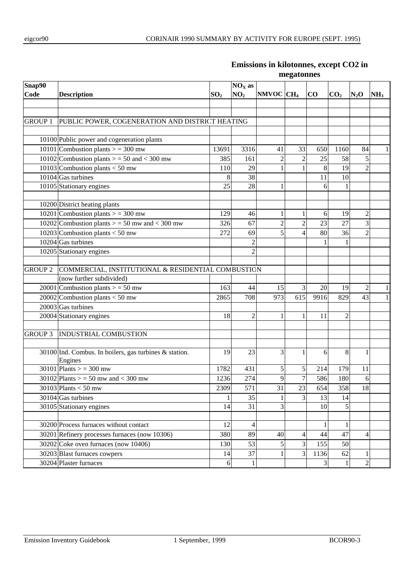| $NOX$ as<br>NO <sub>2</sub><br>NMVOC CH <sub>4</sub><br>SO <sub>2</sub><br>$\bf CO$<br>CO <sub>2</sub><br>$N_2$ O<br>NH <sub>3</sub><br><b>Description</b><br>PUBLIC POWER, COGENERATION AND DISTRICT HEATING<br><b>GROUP 1</b><br>10100 Public power and cogeneration plants<br>10101 Combustion plants $>$ = 300 mw<br>3316<br>33<br>1160<br>84<br>13691<br>41<br>650<br>$\mathbf{1}$<br>$\overline{c}$<br>10102 Combustion plants $>$ = 50 and < 300 mw<br>58<br>5<br>385<br>161<br>$\overline{c}$<br>25<br>10103 Combustion plants $\frac{1}{50}$ mw<br>$\overline{2}$<br>8<br>29<br>1<br>19<br>110<br>$\mathbf{1}$<br>10104 Gas turbines<br>11<br>8<br>38<br>10<br>10105 Stationary engines<br>25<br>28<br>1<br>6<br>10200 District heating plants<br>10201 Combustion plants $>$ = 300 mw<br>$\overline{c}$<br>129<br>46<br>$\mathbf{1}$<br>6<br>19<br>1<br>3<br>10202 Combustion plants $>$ = 50 mw and < 300 mw<br>$\overline{c}$<br>23<br>$\overline{c}$<br>27<br>326<br>67<br>36<br>5<br>$\overline{2}$<br>10203 Combustion plants $<$ 50 mw<br>272<br>$\overline{4}$<br>80<br>69<br>$10204$ Gas turbines<br>1<br>10205 Stationary engines<br>$\overline{c}$<br><b>GROUP 2</b><br>COMMERCIAL, INSTITUTIONAL & RESIDENTIAL COMBUSTION<br>(now further subdivided)<br>20001 Combustion plants $>$ = 50 mw<br>3<br>$\overline{c}$<br>163<br>44<br>15<br>20<br>19<br>$\mathbf{1}$<br>20002 Combustion plants $<$ 50 mw<br>615<br>9916<br>43<br>$\mathbf{1}$<br>708<br>973<br>829<br>2865<br>$20003$ Gas turbines<br>20004 Stationary engines<br>18<br>2<br>2<br>11<br>1<br>1<br><b>GROUP 3</b><br><b>INDUSTRIAL COMBUSTION</b><br>3<br>30100 Ind. Combus. In boilers, gas turbines & station.<br>19<br>23<br>8<br>6<br>1<br>1<br>Engines<br>30101 Plants $>$ = 300 mw<br>$\mathfrak s$<br>1782<br>431<br>5<br>179<br>214<br>11<br>$\overline{7}$<br>$27\overline{4}$<br>$\mathbf Q$<br>586<br>180<br>6<br>$30102$ Plants > = 50 mw and < 300 mw<br>1236<br>31<br>18<br>571<br>23<br>358<br>30103 Plants $<$ 50 mw<br>2309<br>654<br>30104 Gas turbines<br>3<br>35<br>13<br>14<br>30105 Stationary engines<br>14<br>31<br>3<br>10<br>5<br>30200 Process furnaces without contact<br>12<br>$\mathbf{1}$<br>4<br>1<br>30201 Refinery processes furnaces (now 10306)<br>380<br>89<br>44<br>47<br>40<br>4<br>4<br>30202 Coke oven furnaces (now 10406)<br>3<br>53<br>155<br>50<br>130<br>5<br>3<br>30203 Blast furnaces cowpers<br>37<br>14<br>1136<br>62<br>1<br>30204 Plaster furnaces<br>$\mathfrak{Z}$<br>$\boldsymbol{2}$<br>$6 \mid$<br>1<br>1 |                | megatonnes |  |  |  |  |  |  |  |  |  |
|-------------------------------------------------------------------------------------------------------------------------------------------------------------------------------------------------------------------------------------------------------------------------------------------------------------------------------------------------------------------------------------------------------------------------------------------------------------------------------------------------------------------------------------------------------------------------------------------------------------------------------------------------------------------------------------------------------------------------------------------------------------------------------------------------------------------------------------------------------------------------------------------------------------------------------------------------------------------------------------------------------------------------------------------------------------------------------------------------------------------------------------------------------------------------------------------------------------------------------------------------------------------------------------------------------------------------------------------------------------------------------------------------------------------------------------------------------------------------------------------------------------------------------------------------------------------------------------------------------------------------------------------------------------------------------------------------------------------------------------------------------------------------------------------------------------------------------------------------------------------------------------------------------------------------------------------------------------------------------------------------------------------------------------------------------------------------------------------------------------------------------------------------------------------------------------------------------------------------------------------------------------------------------------------------------------------------------------------------------------------------------------------------------------------------------------------------------------------------------------------------------------------------------------------------------|----------------|------------|--|--|--|--|--|--|--|--|--|
|                                                                                                                                                                                                                                                                                                                                                                                                                                                                                                                                                                                                                                                                                                                                                                                                                                                                                                                                                                                                                                                                                                                                                                                                                                                                                                                                                                                                                                                                                                                                                                                                                                                                                                                                                                                                                                                                                                                                                                                                                                                                                                                                                                                                                                                                                                                                                                                                                                                                                                                                                       | Snap90<br>Code |            |  |  |  |  |  |  |  |  |  |
|                                                                                                                                                                                                                                                                                                                                                                                                                                                                                                                                                                                                                                                                                                                                                                                                                                                                                                                                                                                                                                                                                                                                                                                                                                                                                                                                                                                                                                                                                                                                                                                                                                                                                                                                                                                                                                                                                                                                                                                                                                                                                                                                                                                                                                                                                                                                                                                                                                                                                                                                                       |                |            |  |  |  |  |  |  |  |  |  |
|                                                                                                                                                                                                                                                                                                                                                                                                                                                                                                                                                                                                                                                                                                                                                                                                                                                                                                                                                                                                                                                                                                                                                                                                                                                                                                                                                                                                                                                                                                                                                                                                                                                                                                                                                                                                                                                                                                                                                                                                                                                                                                                                                                                                                                                                                                                                                                                                                                                                                                                                                       |                |            |  |  |  |  |  |  |  |  |  |
|                                                                                                                                                                                                                                                                                                                                                                                                                                                                                                                                                                                                                                                                                                                                                                                                                                                                                                                                                                                                                                                                                                                                                                                                                                                                                                                                                                                                                                                                                                                                                                                                                                                                                                                                                                                                                                                                                                                                                                                                                                                                                                                                                                                                                                                                                                                                                                                                                                                                                                                                                       |                |            |  |  |  |  |  |  |  |  |  |
|                                                                                                                                                                                                                                                                                                                                                                                                                                                                                                                                                                                                                                                                                                                                                                                                                                                                                                                                                                                                                                                                                                                                                                                                                                                                                                                                                                                                                                                                                                                                                                                                                                                                                                                                                                                                                                                                                                                                                                                                                                                                                                                                                                                                                                                                                                                                                                                                                                                                                                                                                       |                |            |  |  |  |  |  |  |  |  |  |
|                                                                                                                                                                                                                                                                                                                                                                                                                                                                                                                                                                                                                                                                                                                                                                                                                                                                                                                                                                                                                                                                                                                                                                                                                                                                                                                                                                                                                                                                                                                                                                                                                                                                                                                                                                                                                                                                                                                                                                                                                                                                                                                                                                                                                                                                                                                                                                                                                                                                                                                                                       |                |            |  |  |  |  |  |  |  |  |  |
|                                                                                                                                                                                                                                                                                                                                                                                                                                                                                                                                                                                                                                                                                                                                                                                                                                                                                                                                                                                                                                                                                                                                                                                                                                                                                                                                                                                                                                                                                                                                                                                                                                                                                                                                                                                                                                                                                                                                                                                                                                                                                                                                                                                                                                                                                                                                                                                                                                                                                                                                                       |                |            |  |  |  |  |  |  |  |  |  |
|                                                                                                                                                                                                                                                                                                                                                                                                                                                                                                                                                                                                                                                                                                                                                                                                                                                                                                                                                                                                                                                                                                                                                                                                                                                                                                                                                                                                                                                                                                                                                                                                                                                                                                                                                                                                                                                                                                                                                                                                                                                                                                                                                                                                                                                                                                                                                                                                                                                                                                                                                       |                |            |  |  |  |  |  |  |  |  |  |
|                                                                                                                                                                                                                                                                                                                                                                                                                                                                                                                                                                                                                                                                                                                                                                                                                                                                                                                                                                                                                                                                                                                                                                                                                                                                                                                                                                                                                                                                                                                                                                                                                                                                                                                                                                                                                                                                                                                                                                                                                                                                                                                                                                                                                                                                                                                                                                                                                                                                                                                                                       |                |            |  |  |  |  |  |  |  |  |  |
|                                                                                                                                                                                                                                                                                                                                                                                                                                                                                                                                                                                                                                                                                                                                                                                                                                                                                                                                                                                                                                                                                                                                                                                                                                                                                                                                                                                                                                                                                                                                                                                                                                                                                                                                                                                                                                                                                                                                                                                                                                                                                                                                                                                                                                                                                                                                                                                                                                                                                                                                                       |                |            |  |  |  |  |  |  |  |  |  |
|                                                                                                                                                                                                                                                                                                                                                                                                                                                                                                                                                                                                                                                                                                                                                                                                                                                                                                                                                                                                                                                                                                                                                                                                                                                                                                                                                                                                                                                                                                                                                                                                                                                                                                                                                                                                                                                                                                                                                                                                                                                                                                                                                                                                                                                                                                                                                                                                                                                                                                                                                       |                |            |  |  |  |  |  |  |  |  |  |
|                                                                                                                                                                                                                                                                                                                                                                                                                                                                                                                                                                                                                                                                                                                                                                                                                                                                                                                                                                                                                                                                                                                                                                                                                                                                                                                                                                                                                                                                                                                                                                                                                                                                                                                                                                                                                                                                                                                                                                                                                                                                                                                                                                                                                                                                                                                                                                                                                                                                                                                                                       |                |            |  |  |  |  |  |  |  |  |  |
|                                                                                                                                                                                                                                                                                                                                                                                                                                                                                                                                                                                                                                                                                                                                                                                                                                                                                                                                                                                                                                                                                                                                                                                                                                                                                                                                                                                                                                                                                                                                                                                                                                                                                                                                                                                                                                                                                                                                                                                                                                                                                                                                                                                                                                                                                                                                                                                                                                                                                                                                                       |                |            |  |  |  |  |  |  |  |  |  |
|                                                                                                                                                                                                                                                                                                                                                                                                                                                                                                                                                                                                                                                                                                                                                                                                                                                                                                                                                                                                                                                                                                                                                                                                                                                                                                                                                                                                                                                                                                                                                                                                                                                                                                                                                                                                                                                                                                                                                                                                                                                                                                                                                                                                                                                                                                                                                                                                                                                                                                                                                       |                |            |  |  |  |  |  |  |  |  |  |
|                                                                                                                                                                                                                                                                                                                                                                                                                                                                                                                                                                                                                                                                                                                                                                                                                                                                                                                                                                                                                                                                                                                                                                                                                                                                                                                                                                                                                                                                                                                                                                                                                                                                                                                                                                                                                                                                                                                                                                                                                                                                                                                                                                                                                                                                                                                                                                                                                                                                                                                                                       |                |            |  |  |  |  |  |  |  |  |  |
|                                                                                                                                                                                                                                                                                                                                                                                                                                                                                                                                                                                                                                                                                                                                                                                                                                                                                                                                                                                                                                                                                                                                                                                                                                                                                                                                                                                                                                                                                                                                                                                                                                                                                                                                                                                                                                                                                                                                                                                                                                                                                                                                                                                                                                                                                                                                                                                                                                                                                                                                                       |                |            |  |  |  |  |  |  |  |  |  |
|                                                                                                                                                                                                                                                                                                                                                                                                                                                                                                                                                                                                                                                                                                                                                                                                                                                                                                                                                                                                                                                                                                                                                                                                                                                                                                                                                                                                                                                                                                                                                                                                                                                                                                                                                                                                                                                                                                                                                                                                                                                                                                                                                                                                                                                                                                                                                                                                                                                                                                                                                       |                |            |  |  |  |  |  |  |  |  |  |
|                                                                                                                                                                                                                                                                                                                                                                                                                                                                                                                                                                                                                                                                                                                                                                                                                                                                                                                                                                                                                                                                                                                                                                                                                                                                                                                                                                                                                                                                                                                                                                                                                                                                                                                                                                                                                                                                                                                                                                                                                                                                                                                                                                                                                                                                                                                                                                                                                                                                                                                                                       |                |            |  |  |  |  |  |  |  |  |  |
|                                                                                                                                                                                                                                                                                                                                                                                                                                                                                                                                                                                                                                                                                                                                                                                                                                                                                                                                                                                                                                                                                                                                                                                                                                                                                                                                                                                                                                                                                                                                                                                                                                                                                                                                                                                                                                                                                                                                                                                                                                                                                                                                                                                                                                                                                                                                                                                                                                                                                                                                                       |                |            |  |  |  |  |  |  |  |  |  |
|                                                                                                                                                                                                                                                                                                                                                                                                                                                                                                                                                                                                                                                                                                                                                                                                                                                                                                                                                                                                                                                                                                                                                                                                                                                                                                                                                                                                                                                                                                                                                                                                                                                                                                                                                                                                                                                                                                                                                                                                                                                                                                                                                                                                                                                                                                                                                                                                                                                                                                                                                       |                |            |  |  |  |  |  |  |  |  |  |
|                                                                                                                                                                                                                                                                                                                                                                                                                                                                                                                                                                                                                                                                                                                                                                                                                                                                                                                                                                                                                                                                                                                                                                                                                                                                                                                                                                                                                                                                                                                                                                                                                                                                                                                                                                                                                                                                                                                                                                                                                                                                                                                                                                                                                                                                                                                                                                                                                                                                                                                                                       |                |            |  |  |  |  |  |  |  |  |  |
|                                                                                                                                                                                                                                                                                                                                                                                                                                                                                                                                                                                                                                                                                                                                                                                                                                                                                                                                                                                                                                                                                                                                                                                                                                                                                                                                                                                                                                                                                                                                                                                                                                                                                                                                                                                                                                                                                                                                                                                                                                                                                                                                                                                                                                                                                                                                                                                                                                                                                                                                                       |                |            |  |  |  |  |  |  |  |  |  |
|                                                                                                                                                                                                                                                                                                                                                                                                                                                                                                                                                                                                                                                                                                                                                                                                                                                                                                                                                                                                                                                                                                                                                                                                                                                                                                                                                                                                                                                                                                                                                                                                                                                                                                                                                                                                                                                                                                                                                                                                                                                                                                                                                                                                                                                                                                                                                                                                                                                                                                                                                       |                |            |  |  |  |  |  |  |  |  |  |
|                                                                                                                                                                                                                                                                                                                                                                                                                                                                                                                                                                                                                                                                                                                                                                                                                                                                                                                                                                                                                                                                                                                                                                                                                                                                                                                                                                                                                                                                                                                                                                                                                                                                                                                                                                                                                                                                                                                                                                                                                                                                                                                                                                                                                                                                                                                                                                                                                                                                                                                                                       |                |            |  |  |  |  |  |  |  |  |  |
|                                                                                                                                                                                                                                                                                                                                                                                                                                                                                                                                                                                                                                                                                                                                                                                                                                                                                                                                                                                                                                                                                                                                                                                                                                                                                                                                                                                                                                                                                                                                                                                                                                                                                                                                                                                                                                                                                                                                                                                                                                                                                                                                                                                                                                                                                                                                                                                                                                                                                                                                                       |                |            |  |  |  |  |  |  |  |  |  |
|                                                                                                                                                                                                                                                                                                                                                                                                                                                                                                                                                                                                                                                                                                                                                                                                                                                                                                                                                                                                                                                                                                                                                                                                                                                                                                                                                                                                                                                                                                                                                                                                                                                                                                                                                                                                                                                                                                                                                                                                                                                                                                                                                                                                                                                                                                                                                                                                                                                                                                                                                       |                |            |  |  |  |  |  |  |  |  |  |
|                                                                                                                                                                                                                                                                                                                                                                                                                                                                                                                                                                                                                                                                                                                                                                                                                                                                                                                                                                                                                                                                                                                                                                                                                                                                                                                                                                                                                                                                                                                                                                                                                                                                                                                                                                                                                                                                                                                                                                                                                                                                                                                                                                                                                                                                                                                                                                                                                                                                                                                                                       |                |            |  |  |  |  |  |  |  |  |  |
|                                                                                                                                                                                                                                                                                                                                                                                                                                                                                                                                                                                                                                                                                                                                                                                                                                                                                                                                                                                                                                                                                                                                                                                                                                                                                                                                                                                                                                                                                                                                                                                                                                                                                                                                                                                                                                                                                                                                                                                                                                                                                                                                                                                                                                                                                                                                                                                                                                                                                                                                                       |                |            |  |  |  |  |  |  |  |  |  |
|                                                                                                                                                                                                                                                                                                                                                                                                                                                                                                                                                                                                                                                                                                                                                                                                                                                                                                                                                                                                                                                                                                                                                                                                                                                                                                                                                                                                                                                                                                                                                                                                                                                                                                                                                                                                                                                                                                                                                                                                                                                                                                                                                                                                                                                                                                                                                                                                                                                                                                                                                       |                |            |  |  |  |  |  |  |  |  |  |
|                                                                                                                                                                                                                                                                                                                                                                                                                                                                                                                                                                                                                                                                                                                                                                                                                                                                                                                                                                                                                                                                                                                                                                                                                                                                                                                                                                                                                                                                                                                                                                                                                                                                                                                                                                                                                                                                                                                                                                                                                                                                                                                                                                                                                                                                                                                                                                                                                                                                                                                                                       |                |            |  |  |  |  |  |  |  |  |  |
|                                                                                                                                                                                                                                                                                                                                                                                                                                                                                                                                                                                                                                                                                                                                                                                                                                                                                                                                                                                                                                                                                                                                                                                                                                                                                                                                                                                                                                                                                                                                                                                                                                                                                                                                                                                                                                                                                                                                                                                                                                                                                                                                                                                                                                                                                                                                                                                                                                                                                                                                                       |                |            |  |  |  |  |  |  |  |  |  |
|                                                                                                                                                                                                                                                                                                                                                                                                                                                                                                                                                                                                                                                                                                                                                                                                                                                                                                                                                                                                                                                                                                                                                                                                                                                                                                                                                                                                                                                                                                                                                                                                                                                                                                                                                                                                                                                                                                                                                                                                                                                                                                                                                                                                                                                                                                                                                                                                                                                                                                                                                       |                |            |  |  |  |  |  |  |  |  |  |
|                                                                                                                                                                                                                                                                                                                                                                                                                                                                                                                                                                                                                                                                                                                                                                                                                                                                                                                                                                                                                                                                                                                                                                                                                                                                                                                                                                                                                                                                                                                                                                                                                                                                                                                                                                                                                                                                                                                                                                                                                                                                                                                                                                                                                                                                                                                                                                                                                                                                                                                                                       |                |            |  |  |  |  |  |  |  |  |  |
|                                                                                                                                                                                                                                                                                                                                                                                                                                                                                                                                                                                                                                                                                                                                                                                                                                                                                                                                                                                                                                                                                                                                                                                                                                                                                                                                                                                                                                                                                                                                                                                                                                                                                                                                                                                                                                                                                                                                                                                                                                                                                                                                                                                                                                                                                                                                                                                                                                                                                                                                                       |                |            |  |  |  |  |  |  |  |  |  |
|                                                                                                                                                                                                                                                                                                                                                                                                                                                                                                                                                                                                                                                                                                                                                                                                                                                                                                                                                                                                                                                                                                                                                                                                                                                                                                                                                                                                                                                                                                                                                                                                                                                                                                                                                                                                                                                                                                                                                                                                                                                                                                                                                                                                                                                                                                                                                                                                                                                                                                                                                       |                |            |  |  |  |  |  |  |  |  |  |
|                                                                                                                                                                                                                                                                                                                                                                                                                                                                                                                                                                                                                                                                                                                                                                                                                                                                                                                                                                                                                                                                                                                                                                                                                                                                                                                                                                                                                                                                                                                                                                                                                                                                                                                                                                                                                                                                                                                                                                                                                                                                                                                                                                                                                                                                                                                                                                                                                                                                                                                                                       |                |            |  |  |  |  |  |  |  |  |  |
|                                                                                                                                                                                                                                                                                                                                                                                                                                                                                                                                                                                                                                                                                                                                                                                                                                                                                                                                                                                                                                                                                                                                                                                                                                                                                                                                                                                                                                                                                                                                                                                                                                                                                                                                                                                                                                                                                                                                                                                                                                                                                                                                                                                                                                                                                                                                                                                                                                                                                                                                                       |                |            |  |  |  |  |  |  |  |  |  |
|                                                                                                                                                                                                                                                                                                                                                                                                                                                                                                                                                                                                                                                                                                                                                                                                                                                                                                                                                                                                                                                                                                                                                                                                                                                                                                                                                                                                                                                                                                                                                                                                                                                                                                                                                                                                                                                                                                                                                                                                                                                                                                                                                                                                                                                                                                                                                                                                                                                                                                                                                       |                |            |  |  |  |  |  |  |  |  |  |
|                                                                                                                                                                                                                                                                                                                                                                                                                                                                                                                                                                                                                                                                                                                                                                                                                                                                                                                                                                                                                                                                                                                                                                                                                                                                                                                                                                                                                                                                                                                                                                                                                                                                                                                                                                                                                                                                                                                                                                                                                                                                                                                                                                                                                                                                                                                                                                                                                                                                                                                                                       |                |            |  |  |  |  |  |  |  |  |  |
|                                                                                                                                                                                                                                                                                                                                                                                                                                                                                                                                                                                                                                                                                                                                                                                                                                                                                                                                                                                                                                                                                                                                                                                                                                                                                                                                                                                                                                                                                                                                                                                                                                                                                                                                                                                                                                                                                                                                                                                                                                                                                                                                                                                                                                                                                                                                                                                                                                                                                                                                                       |                |            |  |  |  |  |  |  |  |  |  |

# **Emissions in kilotonnes, except CO2 in**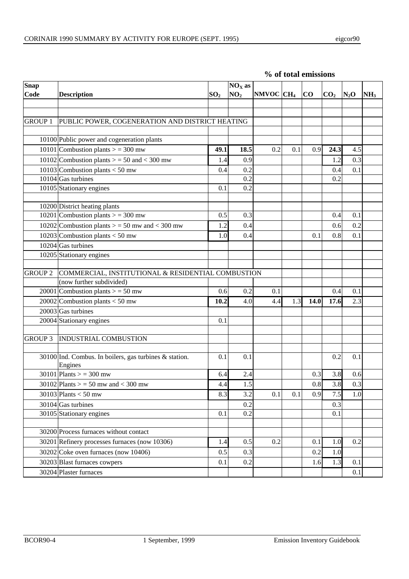| $S$ nap        |                                                                   |                                    | $NOX$ as |                       |     |      |                 |        |                 |
|----------------|-------------------------------------------------------------------|------------------------------------|----------|-----------------------|-----|------|-----------------|--------|-----------------|
| Code           | <b>Description</b>                                                | NO <sub>2</sub><br>SO <sub>2</sub> |          | NMVOC CH <sub>4</sub> |     | CO   | CO <sub>2</sub> | $N_2O$ | NH <sub>3</sub> |
|                |                                                                   |                                    |          |                       |     |      |                 |        |                 |
|                |                                                                   |                                    |          |                       |     |      |                 |        |                 |
| <b>GROUP 1</b> | PUBLIC POWER, COGENERATION AND DISTRICT HEATING                   |                                    |          |                       |     |      |                 |        |                 |
|                | 10100 Public power and cogeneration plants                        |                                    |          |                       |     |      |                 |        |                 |
|                | 10101 Combustion plants $>$ = 300 mw                              | 49.1                               | 18.5     | 0.2                   | 0.1 | 0.9  | 24.3            | 4.5    |                 |
|                | 10102 Combustion plants $>$ = 50 and < 300 mw                     | 1.4                                | 0.9      |                       |     |      | 1.2             | 0.3    |                 |
|                | 10103 Combustion plants $<$ 50 mw                                 | 0.4                                | 0.2      |                       |     |      | 0.4             | 0.1    |                 |
|                | $10104$ Gas turbines                                              |                                    | 0.2      |                       |     |      | 0.2             |        |                 |
|                | 10105 Stationary engines                                          | 0.1                                | 0.2      |                       |     |      |                 |        |                 |
|                | 10200 District heating plants                                     |                                    |          |                       |     |      |                 |        |                 |
|                | 10201 Combustion plants $>$ = 300 mw                              | 0.5                                | 0.3      |                       |     |      | 0.4             | 0.1    |                 |
|                | 10202 Combustion plants $>$ = 50 mw and < 300 mw                  | 1.2                                | 0.4      |                       |     |      | 0.6             | 0.2    |                 |
|                | 10203 Combustion plants $<$ 50 mw                                 | 1.0                                | 0.4      |                       |     | 0.1  | 0.8             | 0.1    |                 |
|                | $10204$ Gas turbines                                              |                                    |          |                       |     |      |                 |        |                 |
|                | 10205 Stationary engines                                          |                                    |          |                       |     |      |                 |        |                 |
|                |                                                                   |                                    |          |                       |     |      |                 |        |                 |
| <b>GROUP 2</b> | COMMERCIAL, INSTITUTIONAL & RESIDENTIAL COMBUSTION                |                                    |          |                       |     |      |                 |        |                 |
|                | (now further subdivided)                                          |                                    |          |                       |     |      |                 |        |                 |
|                | 20001 Combustion plants $>$ = 50 mw                               | 0.6                                | 0.2      | 0.1                   |     |      | 0.4             | 0.1    |                 |
|                | 20002 Combustion plants $<$ 50 mw                                 | 10.2                               | 4.0      | 4.4                   | 1.3 | 14.0 | 17.6            | 2.3    |                 |
|                | $20003$ Gas turbines                                              |                                    |          |                       |     |      |                 |        |                 |
|                | 20004 Stationary engines                                          | 0.1                                |          |                       |     |      |                 |        |                 |
|                |                                                                   |                                    |          |                       |     |      |                 |        |                 |
| <b>GROUP 3</b> | <b>INDUSTRIAL COMBUSTION</b>                                      |                                    |          |                       |     |      |                 |        |                 |
|                | 30100 Ind. Combus. In boilers, gas turbines & station.<br>Engines | 0.1                                | 0.1      |                       |     |      | 0.2             | 0.1    |                 |
|                | 30101 Plants > = 300 mw                                           | 6.4                                | 2.4      |                       |     | 0.3  | 3.8             | 0.6    |                 |
|                | $30102$ Plants > = 50 mw and < 300 mw                             | 4.4                                | 1.5      |                       |     | 0.8  | 3.8             | 0.3    |                 |
|                | 30103 Plants $<$ 50 mw                                            | 8.3                                | 3.2      | 0.1                   | 0.1 | 0.9  | 7.5             | 1.0    |                 |
|                | 30104 Gas turbines                                                |                                    | 0.2      |                       |     |      | 0.3             |        |                 |
|                | 30105 Stationary engines                                          | 0.1                                | 0.2      |                       |     |      | 0.1             |        |                 |
|                |                                                                   |                                    |          |                       |     |      |                 |        |                 |
|                | 30200 Process furnaces without contact                            |                                    |          |                       |     |      |                 |        |                 |
|                | 30201 Refinery processes furnaces (now 10306)                     | 1.4                                | 0.5      | 0.2                   |     | 0.1  | 1.0             | 0.2    |                 |
|                | 30202 Coke oven furnaces (now 10406)                              | 0.5                                | 0.3      |                       |     | 0.2  | 1.0             |        |                 |
|                | 30203 Blast furnaces cowpers                                      | 0.1                                | 0.2      |                       |     | 1.6  | 1.3             | 0.1    |                 |
|                | 30204 Plaster furnaces                                            |                                    |          |                       |     |      |                 | 0.1    |                 |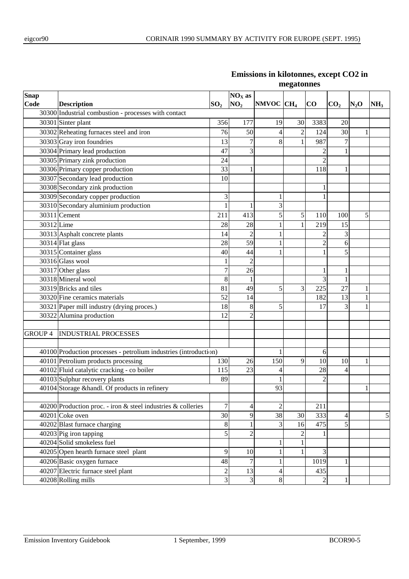| Snap       |                                                                  |                  | $NOX$ as                 |                       |                |                |                 |        |                 |
|------------|------------------------------------------------------------------|------------------|--------------------------|-----------------------|----------------|----------------|-----------------|--------|-----------------|
| Code       | <b>Description</b>                                               | SO <sub>2</sub>  | NO <sub>2</sub>          | NMVOC CH <sub>4</sub> |                | $\bf CO$       | CO <sub>2</sub> | $N_2O$ | NH <sub>3</sub> |
|            | 30300 Industrial combustion - processes with contact             |                  |                          |                       |                |                |                 |        |                 |
|            | 30301 Sinter plant                                               | 356              | 177                      | 19                    | 30             | 3383           | 20              |        |                 |
|            | 30302 Reheating furnaces steel and iron                          | 76               | 50                       | 4                     | $\sqrt{2}$     | 124            | 30              | 1      |                 |
|            | 30303 Gray iron foundries                                        | 13               | $\overline{7}$           | 8                     | 1              | 987            | 7               |        |                 |
|            | 30304 Primary lead production                                    | 47               | 3                        |                       |                | $\overline{c}$ | 1               |        |                 |
|            | 30305 Primary zink production                                    | 24               |                          |                       |                | $\overline{c}$ |                 |        |                 |
|            | 30306 Primary copper production                                  | 33               | $\mathbf{1}$             |                       |                | 118            | $\mathbf{1}$    |        |                 |
|            | 30307 Secondary lead production                                  | 10               |                          |                       |                |                |                 |        |                 |
|            | 30308 Secondary zink production                                  |                  |                          |                       |                | 1              |                 |        |                 |
|            | 30309 Secondary copper production                                | $\mathfrak{Z}$   |                          |                       |                |                |                 |        |                 |
|            | 30310 Secondary aluminium production                             | $\mathbf{1}$     | 1                        | 3                     |                |                |                 |        |                 |
|            | 30311 Cement                                                     | 211              | 413                      | 5                     | $\sqrt{5}$     | 110            | 100             | 5      |                 |
| 30312 Lime |                                                                  | 28               | 28                       |                       | 1              | 219            | 15              |        |                 |
|            | 30313 Asphalt concrete plants                                    | 14               | $\overline{2}$           |                       |                | 2              | 3               |        |                 |
|            | 30314 Flat glass                                                 | 28               | 59                       |                       |                | $\overline{2}$ | 6               |        |                 |
|            | 30315 Container glass                                            | 44               |                          |                       |                | 5              |                 |        |                 |
|            | 30316 Glass wool                                                 | 1                | $\overline{c}$           |                       |                |                |                 |        |                 |
|            | 30317 Other glass                                                |                  | 26                       |                       |                | 1              | 1               |        |                 |
|            | 30318 Mineral wool                                               |                  | 1                        |                       |                | 3              | 1               |        |                 |
|            | 30319 Bricks and tiles                                           | 81               | 49                       | 5                     | 3              | 225            | 27              | 1      |                 |
|            | 30320 Fine ceramics materials                                    | 52               | 14                       |                       |                | 182            | 13              | 1      |                 |
|            | 30321 Paper mill industry (drying proces.)                       | 18               | $\,8\,$                  | 5                     |                | 17             | 3               |        |                 |
|            | 30322 Alumina production                                         | 12               | $\overline{2}$           |                       |                |                |                 |        |                 |
|            |                                                                  |                  |                          |                       |                |                |                 |        |                 |
|            | <b>GROUP 4 INDUSTRIAL PROCESSES</b>                              |                  |                          |                       |                |                |                 |        |                 |
|            |                                                                  |                  |                          |                       |                |                |                 |        |                 |
|            | 40100 Production processes - petrolium industries (introduction) |                  |                          |                       |                | 6              |                 |        |                 |
|            | 40101 Petrolium products processing                              | 130              | 26                       | 150                   | 9              | 10             | 10              |        |                 |
|            | 40102 Fluid catalytic cracking - co boiler                       | 115              | 23                       | 4                     |                | 28             | 4               |        |                 |
|            | 40103 Sulphur recovery plants                                    | 89               |                          |                       |                | $\overline{2}$ |                 |        |                 |
|            | 40104 Storage &handl. Of products in refinery                    |                  |                          | 93                    |                |                |                 |        |                 |
|            |                                                                  |                  |                          |                       |                |                |                 |        |                 |
|            | 40200 Production proc. - iron & steel industries & colleries     | $\boldsymbol{7}$ | $\overline{\mathcal{L}}$ | $\overline{c}$        |                | 211            |                 |        |                 |
|            | 40201 Coke oven                                                  | 30               | 9                        | 38                    | 30             | 333            | 4               |        | 5               |
|            | 40202 Blast furnace charging                                     | $8\,$            | $\mathbf{1}$             | 3                     | 16             | 475            | 5               |        |                 |
|            | 40203 Pig iron tapping                                           | 5                | $\overline{c}$           |                       | $\mathfrak{2}$ |                |                 |        |                 |
|            | 40204 Solid smokeless fuel                                       |                  |                          | 1                     | 1              |                |                 |        |                 |
|            | 40205 Open hearth furnace steel plant                            | $\overline{9}$   | 10                       |                       | 1              | 3              |                 |        |                 |
|            | 40206 Basic oxygen furnace                                       | 48               | 7                        |                       |                | 1019           | 1               |        |                 |
|            | 40207 Electric furnace steel plant<br>$\overline{2}$             |                  |                          | 13<br>4               |                | 435            |                 |        |                 |
|            | 40208 Rolling mills                                              | 3                | 3                        | $\,8\,$               |                | $\mathbf{2}$   | $\,1$           |        |                 |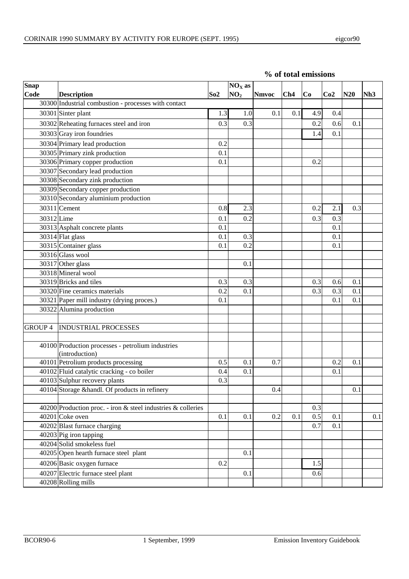|  | % of total emissions |
|--|----------------------|
|  |                      |

| <b>Snap</b>    | $NOX$ as                                                            |     |                 |              |     |     |     |     |     |
|----------------|---------------------------------------------------------------------|-----|-----------------|--------------|-----|-----|-----|-----|-----|
| Code           | <b>Description</b>                                                  | So2 | NO <sub>2</sub> | <b>Nmvoc</b> | Ch4 | Co  | Co2 | N20 | Nh3 |
|                | 30300 Industrial combustion - processes with contact                |     |                 |              |     |     |     |     |     |
|                | 30301 Sinter plant                                                  | 1.3 | 1.0             | 0.1          | 0.1 | 4.9 | 0.4 |     |     |
|                | 30302 Reheating furnaces steel and iron                             | 0.3 | 0.3             |              |     | 0.2 | 0.6 | 0.1 |     |
|                | 30303 Gray iron foundries                                           |     |                 |              |     | 1.4 | 0.1 |     |     |
|                | 30304 Primary lead production                                       | 0.2 |                 |              |     |     |     |     |     |
|                | 30305 Primary zink production                                       | 0.1 |                 |              |     |     |     |     |     |
|                | 30306 Primary copper production                                     | 0.1 |                 |              |     | 0.2 |     |     |     |
|                | 30307 Secondary lead production                                     |     |                 |              |     |     |     |     |     |
|                | 30308 Secondary zink production                                     |     |                 |              |     |     |     |     |     |
|                | 30309 Secondary copper production                                   |     |                 |              |     |     |     |     |     |
|                | 30310 Secondary aluminium production                                |     |                 |              |     |     |     |     |     |
|                | 30311 Cement                                                        | 0.8 | 2.3             |              |     | 0.2 | 2.1 | 0.3 |     |
| 30312 Lime     |                                                                     | 0.1 | 0.2             |              |     | 0.3 | 0.3 |     |     |
|                | 30313 Asphalt concrete plants                                       | 0.1 |                 |              |     |     | 0.1 |     |     |
|                | 30314 Flat glass                                                    | 0.1 | 0.3             |              |     |     | 0.1 |     |     |
|                | 30315 Container glass                                               | 0.1 | 0.2             |              |     |     | 0.1 |     |     |
|                | 30316 Glass wool                                                    |     |                 |              |     |     |     |     |     |
|                | 30317 Other glass                                                   |     | 0.1             |              |     |     |     |     |     |
|                | 30318 Mineral wool                                                  |     |                 |              |     |     |     |     |     |
|                | 30319 Bricks and tiles                                              | 0.3 | 0.3             |              |     | 0.3 | 0.6 | 0.1 |     |
|                | 30320 Fine ceramics materials                                       | 0.2 | 0.1             |              |     | 0.3 | 0.3 | 0.1 |     |
|                | 30321 Paper mill industry (drying proces.)                          | 0.1 |                 |              |     |     | 0.1 | 0.1 |     |
|                | 30322 Alumina production                                            |     |                 |              |     |     |     |     |     |
|                |                                                                     |     |                 |              |     |     |     |     |     |
| <b>GROUP 4</b> | <b>INDUSTRIAL PROCESSES</b>                                         |     |                 |              |     |     |     |     |     |
|                | 40100 Production processes - petrolium industries<br>(introduction) |     |                 |              |     |     |     |     |     |
|                | 40101 Petrolium products processing                                 | 0.5 | 0.1             | 0.7          |     |     | 0.2 | 0.1 |     |
|                | 40102 Fluid catalytic cracking - co boiler                          | 0.4 | 0.1             |              |     |     | 0.1 |     |     |
|                | 40103 Sulphur recovery plants                                       | 0.3 |                 |              |     |     |     |     |     |
|                | 40104 Storage & handl. Of products in refinery                      |     |                 | 0.4          |     |     |     | 0.1 |     |
|                |                                                                     |     |                 |              |     |     |     |     |     |
|                | 40200 Production proc. - iron $\&$ steel industries $\&$ colleries  |     |                 |              |     | 0.3 |     |     |     |
|                | 40201 Coke oven                                                     | 0.1 | 0.1             | 0.2          | 0.1 | 0.5 | 0.1 |     | 0.1 |
|                | 40202 Blast furnace charging                                        |     |                 |              |     | 0.7 | 0.1 |     |     |
|                | 40203 Pig iron tapping                                              |     |                 |              |     |     |     |     |     |
|                | 40204 Solid smokeless fuel                                          |     |                 |              |     |     |     |     |     |
|                | 40205 Open hearth furnace steel plant                               |     | 0.1             |              |     |     |     |     |     |
|                | 40206 Basic oxygen furnace                                          | 0.2 |                 |              |     | 1.5 |     |     |     |
|                | 40207 Electric furnace steel plant                                  |     | 0.1             |              |     | 0.6 |     |     |     |
|                | 40208 Rolling mills                                                 |     |                 |              |     |     |     |     |     |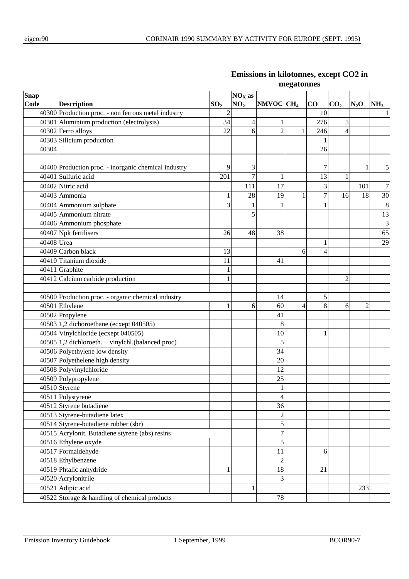| <b>Snap</b> |                                                      |                 | $NOX$ as        |                          |   |                |                 |                |                 |
|-------------|------------------------------------------------------|-----------------|-----------------|--------------------------|---|----------------|-----------------|----------------|-----------------|
| Code        | <b>Description</b>                                   | SO <sub>2</sub> | NO <sub>2</sub> | NMVOC CH <sub>4</sub>    |   | CO             | CO <sub>2</sub> | $N_2$ O        | NH <sub>3</sub> |
|             | 40300 Production proc. - non ferrous metal industry  | $\overline{c}$  |                 |                          |   | 10             |                 |                |                 |
|             | 40301 Aluminium production (electrolysis)            | 34              | 4               | 1                        |   | 276            | 5               |                |                 |
|             | 40302 Ferro alloys                                   | 22              | 6               | $\overline{2}$           |   | 246            | 4               |                |                 |
|             | 40303 Silicium production                            |                 |                 |                          |   |                |                 |                |                 |
| 40304       |                                                      |                 |                 |                          |   | 26             |                 |                |                 |
|             |                                                      |                 |                 |                          |   |                |                 |                |                 |
|             | 40400 Production proc. - inorganic chemical industry | 9               | 3               |                          |   | 7              |                 | 1              | 5               |
|             | 40401 Sulfuric acid                                  | 201             | 7               | 1                        |   | 13             | 1               |                |                 |
|             | 40402 Nitric acid                                    |                 | 111             | 17                       |   | 3              |                 | 101            | 7               |
|             | 40403 Ammonia                                        |                 | 28              | 19                       | 1 | $\overline{7}$ | 16              | 18             | $\overline{30}$ |
|             | 40404 Ammonium sulphate                              | 3               |                 | 1                        |   |                |                 |                | 8               |
|             | 40405 Ammonium nitrate                               |                 | 5               |                          |   |                |                 |                | 13              |
|             | 40406 Ammonium phosphate                             |                 |                 |                          |   |                |                 |                | $\mathfrak{Z}$  |
|             | 40407 Npk fertilisers                                | 26              | 48              | 38                       |   |                |                 |                | 65              |
| 40408 Urea  |                                                      |                 |                 |                          |   | 1              |                 |                | 29              |
|             | 40409 Carbon black                                   | 13              |                 |                          | 6 | 4              |                 |                |                 |
|             | 40410 Titanium dioxide                               | 11              |                 | 41                       |   |                |                 |                |                 |
|             | 40411 Graphite                                       |                 |                 |                          |   |                |                 |                |                 |
|             | $\overline{404}$ 12 Calcium carbide production       |                 |                 |                          |   |                | 2               |                |                 |
|             |                                                      |                 |                 |                          |   |                |                 |                |                 |
|             | 40500 Production proc. - organic chemical industry   |                 |                 | 14                       |   | 5              |                 |                |                 |
|             | 40501 Ethylene                                       | 1               | 6               | 60                       | 4 | 8              | 6               | $\overline{2}$ |                 |
|             | 40502 Propylene                                      |                 |                 | 41                       |   |                |                 |                |                 |
|             | 40503 1,2 dichoroethane (ecxept 040505)              |                 |                 | 8                        |   |                |                 |                |                 |
|             | 40504 Vinylchloride (ecxept 040505)                  |                 |                 | 10                       |   | 1              |                 |                |                 |
|             | $40505$ 1,2 dichloroeth. + vinylchl.(balanced proc)  |                 |                 | 5                        |   |                |                 |                |                 |
|             | 40506 Polyethylene low density                       |                 |                 | 34                       |   |                |                 |                |                 |
|             | 40507 Polyethelene high density                      |                 |                 | 20                       |   |                |                 |                |                 |
|             | 40508 Polyvinylchloride                              |                 |                 | 12                       |   |                |                 |                |                 |
|             | 40509 Polypropylene                                  |                 |                 | 25                       |   |                |                 |                |                 |
|             | 40510 Styrene                                        |                 |                 | $\mathbf{1}$             |   |                |                 |                |                 |
|             | 40511 Polystyrene                                    |                 |                 | $\overline{\mathcal{L}}$ |   |                |                 |                |                 |
|             | 40512 Styrene butadiene                              |                 |                 | 36                       |   |                |                 |                |                 |
|             | 40513 Styrene-butadiene latex                        |                 |                 | $\overline{c}$           |   |                |                 |                |                 |
|             | 40514 Styrene-butadiene rubber (sbr)                 |                 |                 | 5                        |   |                |                 |                |                 |
|             | 40515 Acrylonit. Butadiene styrene (abs) resins      |                 |                 | $\overline{7}$           |   |                |                 |                |                 |
|             | 40516 Ethylene oxyde                                 |                 |                 | 5                        |   |                |                 |                |                 |
|             | 40517 Formaldehyde                                   |                 |                 | 11                       |   | 6              |                 |                |                 |
|             | 40518 Ethylbenzene                                   |                 |                 | $\overline{c}$           |   |                |                 |                |                 |
|             | 40519 Phtalic anhydride                              |                 |                 | 18                       |   | 21             |                 |                |                 |
|             | 40520 Acrylonitrile                                  |                 |                 | 3                        |   |                |                 |                |                 |
|             | 40521 Adipic acid                                    |                 |                 |                          |   |                |                 | 233            |                 |
|             | 40522 Storage & handling of chemical products        |                 |                 | 78                       |   |                |                 |                |                 |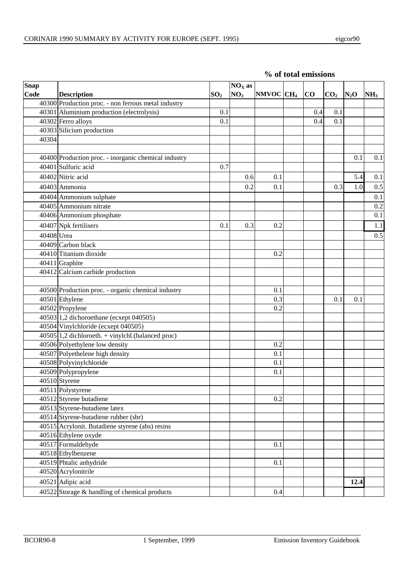| <b>Snap</b><br>Code | <b>Description</b>                                   | SO <sub>2</sub> | $NOX$ as<br>NO <sub>2</sub> | $NMVOC$ $CH4$ | CO  | CO <sub>2</sub> | $N_2$ O | NH <sub>3</sub> |
|---------------------|------------------------------------------------------|-----------------|-----------------------------|---------------|-----|-----------------|---------|-----------------|
|                     | 40300 Production proc. - non ferrous metal industry  |                 |                             |               |     |                 |         |                 |
|                     | 40301 Aluminium production (electrolysis)            | 0.1             |                             |               | 0.4 | 0.1             |         |                 |
|                     | 40302 Ferro alloys                                   | 0.1             |                             |               | 0.4 | 0.1             |         |                 |
|                     | 40303 Silicium production                            |                 |                             |               |     |                 |         |                 |
| 40304               |                                                      |                 |                             |               |     |                 |         |                 |
|                     |                                                      |                 |                             |               |     |                 |         |                 |
|                     | 40400 Production proc. - inorganic chemical industry |                 |                             |               |     |                 | 0.1     | 0.1             |
|                     | 40401 Sulfuric acid                                  | 0.7             |                             |               |     |                 |         |                 |
|                     | 40402 Nitric acid                                    |                 | 0.6                         | 0.1           |     |                 | 5.4     | 0.1             |
|                     | 40403 Ammonia                                        |                 | 0.2                         | 0.1           |     | 0.3             | 1.0     |                 |
|                     |                                                      |                 |                             |               |     |                 |         | 0.5             |
|                     | 40404 Ammonium sulphate                              |                 |                             |               |     |                 |         | 0.1             |
|                     | 40405 Ammonium nitrate                               |                 |                             |               |     |                 |         | 0.2             |
|                     | 40406 Ammonium phosphate                             |                 |                             |               |     |                 |         | 0.1             |
|                     | 40407 Npk fertilisers                                | 0.1             | 0.3                         | 0.2           |     |                 |         | 1.1             |
| 40408 Urea          |                                                      |                 |                             |               |     |                 |         | 0.5             |
|                     | 40409 Carbon black                                   |                 |                             |               |     |                 |         |                 |
|                     | 40410 Titanium dioxide                               |                 |                             | 0.2           |     |                 |         |                 |
|                     | 40411 Graphite                                       |                 |                             |               |     |                 |         |                 |
|                     | 40412 Calcium carbide production                     |                 |                             |               |     |                 |         |                 |
|                     |                                                      |                 |                             |               |     |                 |         |                 |
|                     | 40500 Production proc. - organic chemical industry   |                 |                             | 0.1           |     |                 |         |                 |
|                     | 40501 Ethylene                                       |                 |                             | 0.3           |     | 0.1             | 0.1     |                 |
|                     | 40502 Propylene                                      |                 |                             | 0.2           |     |                 |         |                 |
|                     | 40503 1,2 dichoroethane (ecxept 040505)              |                 |                             |               |     |                 |         |                 |
|                     | 40504 Vinylchloride (ecxept 040505)                  |                 |                             |               |     |                 |         |                 |
|                     | $40505$ 1,2 dichloroeth. + vinylchl.(balanced proc)  |                 |                             |               |     |                 |         |                 |
|                     | 40506 Polyethylene low density                       |                 |                             | 0.2           |     |                 |         |                 |
|                     | 40507 Polyethelene high density                      |                 |                             | 0.1           |     |                 |         |                 |
|                     | 40508 Polyvinylchloride                              |                 |                             | 0.1           |     |                 |         |                 |
|                     | 40509 Polypropylene                                  |                 |                             | 0.1           |     |                 |         |                 |
|                     | 40510 Styrene                                        |                 |                             |               |     |                 |         |                 |
|                     | 40511 Polystyrene                                    |                 |                             |               |     |                 |         |                 |
|                     | $40512$ Styrene butadiene                            |                 |                             | 0.2           |     |                 |         |                 |
|                     | $40513$ Styrene-butadiene latex                      |                 |                             |               |     |                 |         |                 |
|                     | 40514 Styrene-butadiene rubber (sbr)                 |                 |                             |               |     |                 |         |                 |
|                     | 40515 Acrylonit. Butadiene styrene (abs) resins      |                 |                             |               |     |                 |         |                 |
|                     | 40516 Ethylene oxyde                                 |                 |                             |               |     |                 |         |                 |
|                     | 40517 Formaldehyde                                   |                 |                             | 0.1           |     |                 |         |                 |
|                     | 40518 Ethylbenzene                                   |                 |                             |               |     |                 |         |                 |
|                     | 40519 Phtalic anhydride                              |                 |                             | 0.1           |     |                 |         |                 |
|                     | 40520 Acrylonitrile                                  |                 |                             |               |     |                 |         |                 |
|                     | 40521 Adipic acid                                    |                 |                             |               |     |                 | 12.4    |                 |

**% of total emissions**

Storage & handling of chemical products 0.4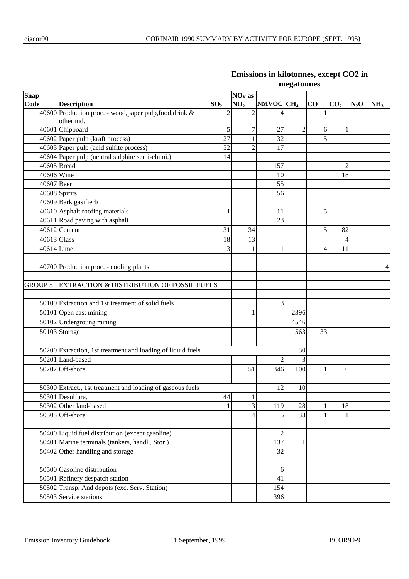| Snap           |                                                             |                 | $NOX$ as        |                       |                |    |                 |        |                 |
|----------------|-------------------------------------------------------------|-----------------|-----------------|-----------------------|----------------|----|-----------------|--------|-----------------|
| Code           | <b>Description</b>                                          | SO <sub>2</sub> | NO <sub>2</sub> | NMVOC CH <sub>4</sub> |                | CO | CO <sub>2</sub> | $N_2O$ | NH <sub>3</sub> |
|                | 40600 Production proc. - wood, paper pulp, food, drink &    | $\overline{2}$  | $\overline{2}$  | 4                     |                |    | $\mathbf{1}$    |        |                 |
|                | other ind.                                                  |                 |                 |                       |                |    |                 |        |                 |
|                | 40601 Chipboard                                             | 5               | 7               | 27                    | $\overline{c}$ |    | 1<br>6          |        |                 |
|                | $40602$ Paper pulp (kraft process)                          | 27              | 11              | 32                    |                |    | 5               |        |                 |
|                | 40603 Paper pulp (acid sulfite process)                     | 52              | $\overline{c}$  | 17                    |                |    |                 |        |                 |
|                | 40604 Paper pulp (neutral sulphite semi-chimi.)             | 14              |                 |                       |                |    |                 |        |                 |
| 40605 Bread    |                                                             |                 |                 | 157                   |                |    | $\overline{2}$  |        |                 |
| 40606 Wine     |                                                             |                 |                 | 10                    |                |    | 18              |        |                 |
| 40607 Beer     |                                                             |                 |                 | 55                    |                |    |                 |        |                 |
|                | 40608 Spirits                                               |                 |                 | 56                    |                |    |                 |        |                 |
|                | 40609 Bark gasifierb                                        |                 |                 |                       |                |    |                 |        |                 |
|                | 40610 Asphalt roofing materials                             | 1               |                 | 11                    |                |    | 5               |        |                 |
|                | 40611 Road paving with asphalt                              |                 |                 | 23                    |                |    |                 |        |                 |
|                | $40612$ Cement                                              | 31              | 34              |                       |                |    | 5<br>82         |        |                 |
| 40613 Glass    |                                                             | 18              | 13              |                       |                |    |                 |        |                 |
| 40614 Lime     |                                                             | 3               |                 | 1                     |                |    | 11<br>4         |        |                 |
|                |                                                             |                 |                 |                       |                |    |                 |        |                 |
|                | 40700 Production proc. - cooling plants                     |                 |                 |                       |                |    |                 |        | 4               |
|                |                                                             |                 |                 |                       |                |    |                 |        |                 |
| <b>GROUP 5</b> | EXTRACTION & DISTRIBUTION OF FOSSIL FUELS                   |                 |                 |                       |                |    |                 |        |                 |
|                |                                                             |                 |                 |                       |                |    |                 |        |                 |
|                | 50100 Extraction and 1st treatment of solid fuels           |                 |                 | 3                     |                |    |                 |        |                 |
|                | 50101 Open cast mining                                      |                 |                 |                       | 2396           |    |                 |        |                 |
|                | 50102 Undergroung mining                                    |                 |                 |                       | 4546           |    |                 |        |                 |
|                | 50103 Storage                                               |                 |                 |                       | 563            | 33 |                 |        |                 |
|                |                                                             |                 |                 |                       |                |    |                 |        |                 |
|                | 50200 Extraction, 1st treatment and loading of liquid fuels |                 |                 |                       | 30             |    |                 |        |                 |
|                | 50201 Land-based                                            |                 |                 | $\overline{c}$        | 3              |    |                 |        |                 |
|                | 50202 Off-shore                                             |                 | 51              | 346                   | 100            |    | 1<br>6          |        |                 |
|                |                                                             |                 |                 |                       |                |    |                 |        |                 |
|                | 50300 Extract., 1st treatment and loading of gaseous fuels  |                 |                 | 12                    | 10             |    |                 |        |                 |
|                | 50301 Desulfura.                                            | $\sqrt{44}$     | $\mathbf{1}$    |                       |                |    |                 |        |                 |
|                | 50302 Other land-based                                      |                 | 13              | 119                   | 28             |    | 18<br>1         |        |                 |
|                | 50303 Off-shore                                             |                 | $\overline{4}$  | 5                     | 33             |    | 1<br>1          |        |                 |
|                |                                                             |                 |                 |                       |                |    |                 |        |                 |
|                | 50400 Liquid fuel distribution (except gasoline)            |                 |                 | $\overline{2}$        |                |    |                 |        |                 |
|                | 50401 Marine terminals (tankers, handl., Stor.)             |                 |                 | 137                   | 1              |    |                 |        |                 |
|                | $50402$ Other handling and storage                          |                 |                 | 32                    |                |    |                 |        |                 |
|                |                                                             |                 |                 |                       |                |    |                 |        |                 |
|                | 50500 Gasoline distribution                                 |                 |                 | 6                     |                |    |                 |        |                 |
|                | 50501 Refinery despatch station                             |                 |                 | 41                    |                |    |                 |        |                 |
|                | 50502 Transp. And depots (exc. Serv. Station)               | 154             |                 |                       |                |    |                 |        |                 |
|                | 50503 Service stations                                      |                 | 396             |                       |                |    |                 |        |                 |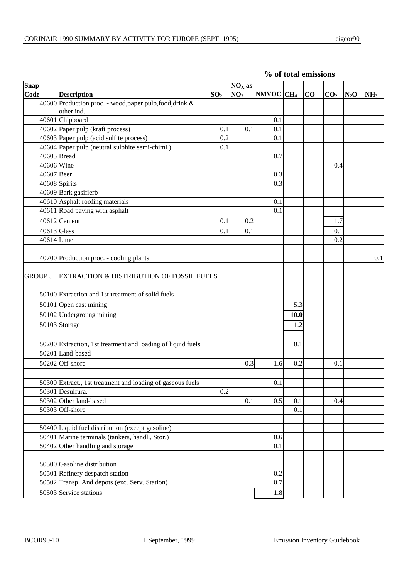| Snap           |                                                                        |                 | $NOX$ as        |              |      |          |                 |        |                 |
|----------------|------------------------------------------------------------------------|-----------------|-----------------|--------------|------|----------|-----------------|--------|-----------------|
| Code           | <b>Description</b>                                                     | SO <sub>2</sub> | NO <sub>2</sub> | $NMOC$ $CH4$ |      | $\bf CO$ | CO <sub>2</sub> | $N_2O$ | NH <sub>3</sub> |
|                | 40600 Production proc. - wood, paper pulp, food, drink &<br>other ind. |                 |                 |              |      |          |                 |        |                 |
|                | 40601 Chipboard                                                        |                 |                 | 0.1          |      |          |                 |        |                 |
|                | $40602$ Paper pulp (kraft process)                                     | 0.1             | 0.1             | 0.1          |      |          |                 |        |                 |
|                | 40603 Paper pulp (acid sulfite process)                                | 0.2             |                 | 0.1          |      |          |                 |        |                 |
|                | 40604 Paper pulp (neutral sulphite semi-chimi.)                        | 0.1             |                 |              |      |          |                 |        |                 |
| 40605 Bread    |                                                                        |                 |                 | 0.7          |      |          |                 |        |                 |
| 40606 Wine     |                                                                        |                 |                 |              |      |          | 0.4             |        |                 |
| 40607 Beer     |                                                                        |                 |                 | 0.3          |      |          |                 |        |                 |
|                | 40608 Spirits                                                          |                 |                 | 0.3          |      |          |                 |        |                 |
|                | 40609 Bark gasifierb                                                   |                 |                 |              |      |          |                 |        |                 |
|                | 40610 Asphalt roofing materials                                        |                 |                 | 0.1          |      |          |                 |        |                 |
|                | 40611 Road paving with asphalt                                         |                 |                 | 0.1          |      |          |                 |        |                 |
|                | $40612$ Cement                                                         | 0.1             | 0.2             |              |      |          | 1.7             |        |                 |
| 40613 Glass    |                                                                        | 0.1             | 0.1             |              |      |          | 0.1             |        |                 |
| 40614 Lime     |                                                                        |                 |                 |              |      |          | 0.2             |        |                 |
|                |                                                                        |                 |                 |              |      |          |                 |        |                 |
|                | 40700 Production proc. - cooling plants                                |                 |                 |              |      |          |                 |        | 0.1             |
| <b>GROUP 5</b> | <b>EXTRACTION &amp; DISTRIBUTION OF FOSSIL FUELS</b>                   |                 |                 |              |      |          |                 |        |                 |
|                | 50100 Extraction and 1st treatment of solid fuels                      |                 |                 |              |      |          |                 |        |                 |
|                | 50101 Open cast mining                                                 |                 |                 |              | 5.3  |          |                 |        |                 |
|                | 50102 Undergroung mining                                               |                 |                 |              | 10.0 |          |                 |        |                 |
|                | 50103 Storage                                                          |                 |                 |              | 1.2  |          |                 |        |                 |
|                |                                                                        |                 |                 |              |      |          |                 |        |                 |
|                | 50200 Extraction, 1st treatment and oading of liquid fuels             |                 |                 |              | 0.1  |          |                 |        |                 |
|                | 50201 Land-based                                                       |                 |                 |              |      |          |                 |        |                 |
|                | 50202 Off-shore                                                        |                 | 0.3             | 1.6          | 0.2  |          | 0.1             |        |                 |
|                |                                                                        |                 |                 |              |      |          |                 |        |                 |
|                | 50300 Extract., 1st treatment and loading of gaseous fuels             |                 |                 | 0.1          |      |          |                 |        |                 |
|                | 50301 Desulfura.                                                       | 0.2             |                 |              |      |          |                 |        |                 |
|                | 50302 Other land-based                                                 |                 | 0.1             | 0.5          | 0.1  |          | 0.4             |        |                 |
|                | 50303 Off-shore                                                        |                 |                 |              | 0.1  |          |                 |        |                 |
|                |                                                                        |                 |                 |              |      |          |                 |        |                 |
|                | 50400 Liquid fuel distribution (except gasoline)                       |                 |                 |              |      |          |                 |        |                 |
|                | 50401 Marine terminals (tankers, handl., Stor.)                        |                 |                 | 0.6          |      |          |                 |        |                 |
|                | 50402 Other handling and storage                                       |                 |                 | 0.1          |      |          |                 |        |                 |
|                |                                                                        |                 |                 |              |      |          |                 |        |                 |
|                | 50500 Gasoline distribution                                            |                 |                 |              |      |          |                 |        |                 |
|                | 50501 Refinery despatch station                                        |                 |                 | 0.2          |      |          |                 |        |                 |
|                | 50502 Transp. And depots (exc. Serv. Station)                          |                 |                 | 0.7          |      |          |                 |        |                 |
|                | 50503 Service stations                                                 |                 |                 | 1.8          |      |          |                 |        |                 |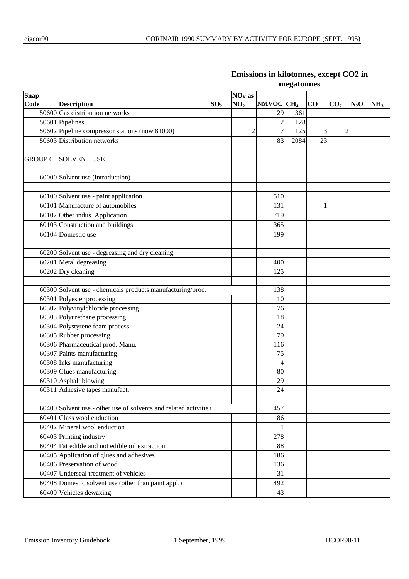| Snap           |                                                                  |                 | $NOX$ as        |                       |      |          |                 |        |                 |
|----------------|------------------------------------------------------------------|-----------------|-----------------|-----------------------|------|----------|-----------------|--------|-----------------|
| Code           | <b>Description</b>                                               | SO <sub>2</sub> | NO <sub>2</sub> | NMVOC CH <sub>4</sub> |      | $\bf CO$ | CO <sub>2</sub> | $N_2O$ | NH <sub>3</sub> |
|                | $50600$ Gas distribution networks                                |                 |                 | 29                    | 361  |          |                 |        |                 |
|                | 50601 Pipelines                                                  |                 |                 | $\overline{c}$        | 128  |          |                 |        |                 |
|                | 50602 Pipeline compressor stations (now 81000)                   |                 | 12              | $\overline{7}$        | 125  | 3        | $\overline{c}$  |        |                 |
|                | 50603 Distribution networks                                      |                 |                 | 83                    | 2084 | 23       |                 |        |                 |
|                |                                                                  |                 |                 |                       |      |          |                 |        |                 |
| <b>GROUP 6</b> | <b>SOLVENT USE</b>                                               |                 |                 |                       |      |          |                 |        |                 |
|                |                                                                  |                 |                 |                       |      |          |                 |        |                 |
|                | 60000 Solvent use (introduction)                                 |                 |                 |                       |      |          |                 |        |                 |
|                |                                                                  |                 |                 |                       |      |          |                 |        |                 |
|                | 60100 Solvent use - paint application                            |                 |                 | 510                   |      |          |                 |        |                 |
|                | 60101 Manufacture of automobiles                                 |                 |                 | 131                   |      | 1        |                 |        |                 |
|                | 60102 Other indus. Application                                   |                 |                 | 719                   |      |          |                 |        |                 |
|                | $60103$ Construction and buildings                               |                 |                 | 365                   |      |          |                 |        |                 |
|                | 60104 Domestic use                                               |                 |                 | 199                   |      |          |                 |        |                 |
|                |                                                                  |                 |                 |                       |      |          |                 |        |                 |
|                | 60200 Solvent use - degreasing and dry cleaning                  |                 |                 |                       |      |          |                 |        |                 |
|                | 60201 Metal degreasing                                           |                 |                 | 400                   |      |          |                 |        |                 |
|                | 60202 Dry cleaning                                               |                 |                 | 125                   |      |          |                 |        |                 |
|                |                                                                  |                 |                 |                       |      |          |                 |        |                 |
|                | 60300 Solvent use - chemicals products manufacturing/proc.       |                 |                 | 138                   |      |          |                 |        |                 |
|                | 60301 Polyester processing                                       |                 |                 | 10                    |      |          |                 |        |                 |
|                | 60302 Polyvinylchloride processing                               |                 |                 | 76                    |      |          |                 |        |                 |
|                | 60303 Polyurethane processing                                    |                 |                 | 18                    |      |          |                 |        |                 |
|                | 60304 Polystyrene foam process.                                  |                 |                 | 24                    |      |          |                 |        |                 |
|                | 60305 Rubber processing                                          |                 |                 | 79                    |      |          |                 |        |                 |
|                | 60306 Pharmaceutical prod. Manu.                                 |                 |                 | 116                   |      |          |                 |        |                 |
|                | 60307 Paints manufacturing                                       |                 |                 | 75                    |      |          |                 |        |                 |
|                | 60308 Inks manufacturing                                         |                 |                 | $\overline{4}$        |      |          |                 |        |                 |
|                | 60309 Glues manufacturing                                        |                 |                 | 80                    |      |          |                 |        |                 |
|                | 60310 Asphalt blowing                                            |                 |                 | 29                    |      |          |                 |        |                 |
|                | 60311 Adhesive tapes manufact.                                   |                 |                 | 24                    |      |          |                 |        |                 |
|                |                                                                  |                 |                 |                       |      |          |                 |        |                 |
|                | 60400 Solvent use - other use of solvents and related activities |                 |                 | 457                   |      |          |                 |        |                 |
|                | 60401 Glass wool enduction                                       |                 |                 | 86                    |      |          |                 |        |                 |
|                | 60402 Mineral wool enduction                                     |                 |                 |                       |      |          |                 |        |                 |
|                | 60403 Printing industry                                          |                 |                 | 278                   |      |          |                 |        |                 |
|                | 60404 Fat edible and not edible oil extraction                   |                 |                 | 88                    |      |          |                 |        |                 |
|                | 60405 Application of glues and adhesives                         |                 |                 | 186                   |      |          |                 |        |                 |
|                | 60406 Preservation of wood                                       |                 |                 | 136                   |      |          |                 |        |                 |
|                | 60407 Underseal treatment of vehicles                            |                 |                 |                       |      |          |                 |        |                 |
|                | 60408 Domestic solvent use (other than paint appl.)              |                 |                 |                       |      |          |                 |        |                 |
|                | 60409 Vehicles dewaxing                                          |                 |                 | 43                    |      |          |                 |        |                 |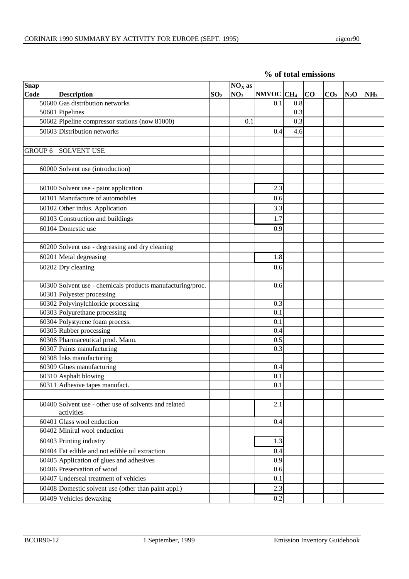|  | % of total emissions |
|--|----------------------|
|  |                      |

| Snap    |                                                            |                 | $NOX$ as        |                |     |    |                 |         |                 |
|---------|------------------------------------------------------------|-----------------|-----------------|----------------|-----|----|-----------------|---------|-----------------|
| Code    | <b>Description</b>                                         | SO <sub>2</sub> | NO <sub>2</sub> | NMVOC $ CH_4 $ |     | CO | CO <sub>2</sub> | $N_2$ O | NH <sub>3</sub> |
|         | 50600 Gas distribution networks                            |                 |                 | 0.1            | 0.8 |    |                 |         |                 |
|         | 50601 Pipelines                                            |                 |                 |                | 0.3 |    |                 |         |                 |
|         | 50602 Pipeline compressor stations (now 81000)             |                 | 0.1             |                | 0.3 |    |                 |         |                 |
|         | 50603 Distribution networks                                |                 |                 | 0.4            | 4.6 |    |                 |         |                 |
|         |                                                            |                 |                 |                |     |    |                 |         |                 |
| GROUP 6 | <b>SOLVENT USE</b>                                         |                 |                 |                |     |    |                 |         |                 |
|         |                                                            |                 |                 |                |     |    |                 |         |                 |
|         | 60000 Solvent use (introduction)                           |                 |                 |                |     |    |                 |         |                 |
|         |                                                            |                 |                 |                |     |    |                 |         |                 |
|         | 60100 Solvent use - paint application                      |                 |                 | 2.3            |     |    |                 |         |                 |
|         | 60101 Manufacture of automobiles                           |                 |                 | 0.6            |     |    |                 |         |                 |
|         | 60102 Other indus. Application                             |                 |                 | 3.3            |     |    |                 |         |                 |
|         | 60103 Construction and buildings                           |                 |                 | 1.7            |     |    |                 |         |                 |
|         | 60104 Domestic use                                         |                 |                 | 0.9            |     |    |                 |         |                 |
|         |                                                            |                 |                 |                |     |    |                 |         |                 |
|         | 60200 Solvent use - degreasing and dry cleaning            |                 |                 |                |     |    |                 |         |                 |
|         | 60201 Metal degreasing                                     |                 |                 | 1.8            |     |    |                 |         |                 |
|         |                                                            |                 |                 |                |     |    |                 |         |                 |
|         | 60202 Dry cleaning                                         |                 |                 | 0.6            |     |    |                 |         |                 |
|         | 60300 Solvent use - chemicals products manufacturing/proc. |                 |                 | 0.6            |     |    |                 |         |                 |
|         | 60301 Polyester processing                                 |                 |                 |                |     |    |                 |         |                 |
|         | 60302 Polyvinylchloride processing                         |                 |                 | 0.3            |     |    |                 |         |                 |
|         | 60303 Polyurethane processing                              |                 |                 | 0.1            |     |    |                 |         |                 |
|         | $\overline{60304}$ Polystyrene foam process.               |                 |                 | 0.1            |     |    |                 |         |                 |
|         | 60305 Rubber processing                                    |                 |                 | 0.4            |     |    |                 |         |                 |
|         | 60306 Pharmaceutical prod. Manu.                           |                 |                 | 0.5            |     |    |                 |         |                 |
|         | 60307 Paints manufacturing                                 |                 |                 | 0.3            |     |    |                 |         |                 |
|         | 60308 Inks manufacturing                                   |                 |                 |                |     |    |                 |         |                 |
|         | 60309 Glues manufacturing                                  |                 |                 | 0.4            |     |    |                 |         |                 |
|         | 60310 Asphalt blowing                                      |                 |                 | 0.1            |     |    |                 |         |                 |
|         | 60311 Adhesive tapes manufact.                             |                 |                 | 0.1            |     |    |                 |         |                 |
|         |                                                            |                 |                 |                |     |    |                 |         |                 |
|         | 60400 Solvent use - other use of solvents and related      |                 |                 | 2.1            |     |    |                 |         |                 |
|         | activities                                                 |                 |                 |                |     |    |                 |         |                 |
|         | 60401 Glass wool enduction                                 |                 |                 | 0.4            |     |    |                 |         |                 |
|         | 60402 Miniral wool enduction                               |                 |                 |                |     |    |                 |         |                 |
|         | 60403 Printing industry                                    |                 |                 | 1.3            |     |    |                 |         |                 |
|         | 60404 Fat edible and not edible oil extraction             |                 |                 | 0.4            |     |    |                 |         |                 |
|         | 60405 Application of glues and adhesives                   |                 |                 | 0.9            |     |    |                 |         |                 |
|         | 60406 Preservation of wood                                 |                 |                 | 0.6            |     |    |                 |         |                 |
|         | 60407 Underseal treatment of vehicles                      |                 |                 | 0.1            |     |    |                 |         |                 |
|         | 60408 Domestic solvent use (other than paint appl.)        |                 |                 | 2.3            |     |    |                 |         |                 |
|         | 60409 Vehicles dewaxing                                    |                 |                 | 0.2            |     |    |                 |         |                 |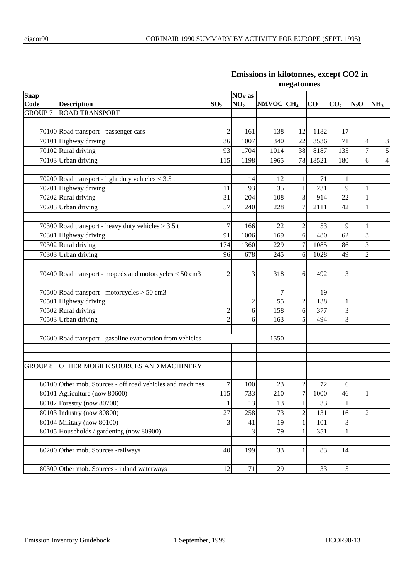| Snap           |                                                           |                 | $NOX$ as        |                       |                         |       |                 |                          |                         |
|----------------|-----------------------------------------------------------|-----------------|-----------------|-----------------------|-------------------------|-------|-----------------|--------------------------|-------------------------|
| Code           | <b>Description</b>                                        | SO <sub>2</sub> | NO <sub>2</sub> | NMVOC CH <sub>4</sub> |                         | CO    | CO <sub>2</sub> | $N_2$ O                  | NH <sub>3</sub>         |
| <b>GROUP 7</b> | <b>ROAD TRANSPORT</b>                                     |                 |                 |                       |                         |       |                 |                          |                         |
|                |                                                           |                 |                 |                       |                         |       |                 |                          |                         |
|                | 70100 Road transport - passenger cars                     | $\overline{2}$  | 161             | 138                   | 12                      | 1182  | 17              |                          |                         |
|                | 70101 Highway driving                                     | 36              | 1007            | 340                   | 22                      | 3536  | 71              | $\overline{\mathcal{L}}$ | 3                       |
|                | 70102 Rural driving                                       | 93              | 1704            | 1014                  | 38                      | 8187  | 135             | $\boldsymbol{7}$         | 5                       |
|                | 70103 Urban driving                                       | 115             | 1198            | 1965                  | 78                      | 18521 | 180             | 6                        | $\overline{\mathbf{4}}$ |
|                |                                                           |                 |                 |                       |                         |       |                 |                          |                         |
|                | 70200 Road transport - light duty vehicles $<$ 3.5 t      |                 | 14              | 12                    | 1                       | 71    |                 |                          |                         |
|                | 70201 Highway driving                                     | 11              | 93              | 35                    | 1                       | 231   | 9               | 1                        |                         |
|                | 70202 Rural driving                                       | 31              | 204             | 108                   | 3                       | 914   | 22              | 1                        |                         |
|                | 70203 Urban driving                                       | 57              | 240             | 228                   | $\overline{7}$          | 2111  | 42              | 1                        |                         |
|                |                                                           |                 |                 |                       |                         |       |                 |                          |                         |
|                | 70300 Road transport - heavy duty vehicles $>$ 3.5 t      | 7               | 166             | 22                    | $\overline{c}$          | 53    | 9               | 1                        |                         |
|                | 70301 Highway driving                                     | 91              | 1006            | 169                   | 6                       | 480   | 62              | 3                        |                         |
|                | 70302 Rural driving                                       | 174             | 1360            | 229                   | $\overline{7}$          | 1085  | 86              | 3                        |                         |
|                | 70303 Urban driving                                       | 96              | 678             | 245                   | 6                       | 1028  | 49              | $\overline{c}$           |                         |
|                |                                                           |                 |                 |                       |                         |       |                 |                          |                         |
|                | 70400 Road transport - mopeds and motorcycles $<$ 50 cm3  | $\overline{2}$  | 3               | 318                   | 6                       | 492   | 3               |                          |                         |
|                |                                                           |                 |                 |                       |                         |       |                 |                          |                         |
|                | 70500 Road transport - motorcycles > 50 cm3               |                 |                 | 7                     |                         | 19    |                 |                          |                         |
|                | 70501 Highway driving                                     |                 | $\overline{c}$  | 55                    | $\overline{c}$          | 138   | 1               |                          |                         |
|                | 70502 Rural driving                                       | $\overline{c}$  | 6               | 158                   | 6                       | 377   | 3               |                          |                         |
|                | 70503 Urban driving                                       | $\overline{2}$  | 6               | 163                   | 5                       | 494   | 3               |                          |                         |
|                |                                                           |                 |                 |                       |                         |       |                 |                          |                         |
|                | 70600 Road transport - gasoline evaporation from vehicles |                 |                 | 1550                  |                         |       |                 |                          |                         |
|                |                                                           |                 |                 |                       |                         |       |                 |                          |                         |
| <b>GROUP 8</b> |                                                           |                 |                 |                       |                         |       |                 |                          |                         |
|                | OTHER MOBILE SOURCES AND MACHINERY                        |                 |                 |                       |                         |       |                 |                          |                         |
|                | 80100 Other mob. Sources - off road vehicles and machines | 7               | 100             | 23                    | $\overline{\mathbf{c}}$ | 72    | 6               |                          |                         |
|                | 80101 Agriculture (now 80600)                             | 115             | 733             | 210                   | $\overline{7}$          | 1000  | 46              | 1                        |                         |
|                | 80102 Forestry (now 80700)                                | 1               | 13              | 13                    | 1                       | 33    | 1               |                          |                         |
|                | 80103 Industry (now 80800)                                | 27              | 258             | 73                    | $\overline{c}$          | 131   | 16              | $\mathfrak{2}$           |                         |
|                | 80104 Military (now 80100)                                | 3               | 41              | 19                    | 1                       | 101   | 3               |                          |                         |
|                | 80105 Households / gardening (now 80900)                  |                 | 3               | 79                    |                         | 351   | 1               |                          |                         |
|                |                                                           |                 |                 |                       |                         |       |                 |                          |                         |
|                | 80200 Other mob. Sources -railways                        | 40              | 199             | 33                    | 1                       | 83    | 14              |                          |                         |
|                |                                                           |                 |                 |                       |                         |       |                 |                          |                         |
|                | 80300 Other mob. Sources - inland waterways               | 12              | 71              | 29                    |                         | 33    | 5               |                          |                         |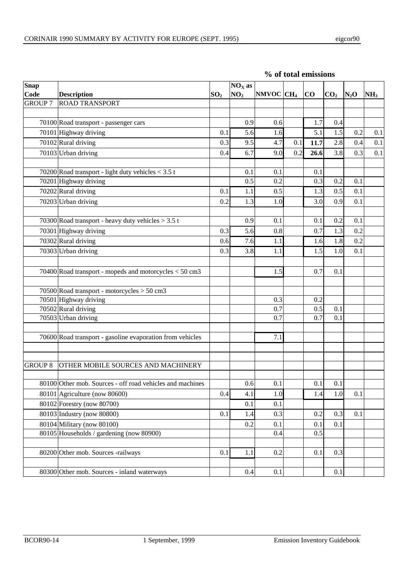|  | % of total emissions |
|--|----------------------|
|  |                      |

| <b>Snap</b>    |                                                           |                 | $NOX$ as        |              |     |           |                 |         |                 |
|----------------|-----------------------------------------------------------|-----------------|-----------------|--------------|-----|-----------|-----------------|---------|-----------------|
| Code           | <b>Description</b>                                        | SO <sub>2</sub> | NO <sub>2</sub> | $NMOC$ $CH4$ |     | <b>CO</b> | CO <sub>2</sub> | $N_2$ O | NH <sub>3</sub> |
| <b>GROUP 7</b> | <b>ROAD TRANSPORT</b>                                     |                 |                 |              |     |           |                 |         |                 |
|                |                                                           |                 |                 |              |     |           |                 |         |                 |
|                | 70100 Road transport - passenger cars                     |                 | 0.9             | 0.6          |     | 1.7       | 0.4             |         |                 |
|                | 70101 Highway driving                                     | 0.1             | 5.6             | 1.6          |     | 5.1       | 1.5             | 0.2     | 0.1             |
|                | 70102 Rural driving                                       | 0.3             | 9.5             | 4.7          | 0.1 | 11.7      | 2.8             | 0.4     | 0.1             |
|                | 70103 Urban driving                                       | 0.4             | 6.7             | 9.0          | 0.2 | 26.6      | 3.8             | 0.3     | 0.1             |
|                | 70200 Road transport - light duty vehicles $<$ 3.5 t      |                 | 0.1             | 0.1          |     | 0.1       |                 |         |                 |
|                | 70201 Highway driving                                     |                 | 0.5             | 0.2          |     | 0.3       | 0.2             | 0.1     |                 |
|                | 70202 Rural driving                                       | 0.1             | 1.1             | 0.5          |     | 1.3       | 0.5             | 0.1     |                 |
|                | 70203 Urban driving                                       | 0.2             | 1.3             | 1.0          |     | 3.0       | 0.9             | 0.1     |                 |
|                |                                                           |                 |                 |              |     |           |                 |         |                 |
|                | 70300 Road transport - heavy duty vehicles $>$ 3.5 t      |                 | 0.9             | 0.1          |     | 0.1       | 0.2             | 0.1     |                 |
|                | 70301 Highway driving                                     | 0.3             | 5.6             | 0.8          |     | 0.7       | 1.3             | 0.2     |                 |
|                | 70302 Rural driving                                       | 0.6             | 7.6             | 1.1          |     | 1.6       | 1.8             | 0.2     |                 |
|                | 70303 Urban driving                                       | 0.3             | 3.8             | 1.1          |     | 1.5       | 1.0             | 0.1     |                 |
|                | 70400 Road transport - mopeds and motorcycles $<$ 50 cm3  |                 |                 | 1.5          |     | 0.7       | 0.1             |         |                 |
|                | 70500 Road transport - motorcycles > 50 cm3               |                 |                 |              |     |           |                 |         |                 |
|                | 70501 Highway driving                                     |                 |                 | 0.3          |     | 0.2       |                 |         |                 |
|                | 70502 Rural driving                                       |                 |                 | 0.7          |     | 0.5       | 0.1             |         |                 |
|                | 70503 Urban driving                                       |                 |                 | 0.7          |     | 0.7       | 0.1             |         |                 |
|                | 70600 Road transport - gasoline evaporation from vehicles |                 |                 | 7.1          |     |           |                 |         |                 |
| <b>GROUP 8</b> | OTHER MOBILE SOURCES AND MACHINERY                        |                 |                 |              |     |           |                 |         |                 |
|                | 80100 Other mob. Sources - off road vehicles and machines |                 | 0.6             | 0.1          |     | 0.1       | 0.1             |         |                 |
|                | 80101 Agriculture (now 80600)                             | 0.4             | 4.1             | 1.0          |     | 1.4       | 1.0             | 0.1     |                 |
|                | 80102 Forestry (now 80700)                                |                 | 0.1             | 0.1          |     |           |                 |         |                 |
|                | 80103 Industry (now 80800)                                | 0.1             | 1.4             | 0.3          |     | 0.2       | 0.3             | 0.1     |                 |
|                | 80104 Military (now 80100)                                |                 | 0.2             | 0.1          |     | 0.1       | 0.1             |         |                 |
|                | 80105 Households / gardening (now 80900)                  |                 |                 | 0.4          |     | 0.5       |                 |         |                 |
|                | 80200 Other mob. Sources -railways                        | 0.1             | 1.1             | 0.2          |     | 0.1       | 0.3             |         |                 |
|                | 80300 Other mob. Sources - inland waterways               |                 | 0.4             | 0.1          |     |           | 0.1             |         |                 |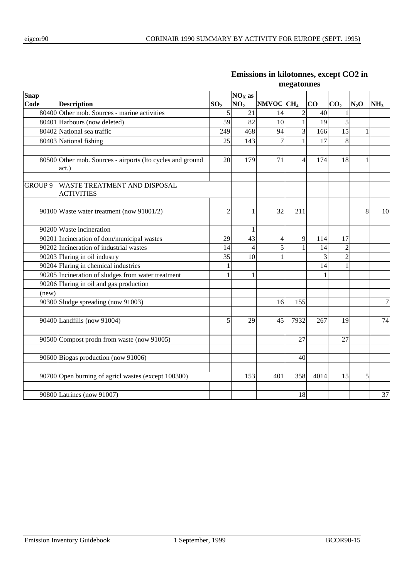| Snap           |                                                                     |                 | $NOX$ as        |                       |                         |                 |                 |         |                 |
|----------------|---------------------------------------------------------------------|-----------------|-----------------|-----------------------|-------------------------|-----------------|-----------------|---------|-----------------|
| Code           | <b>Description</b>                                                  | SO <sub>2</sub> | NO <sub>2</sub> | NMVOC CH <sub>4</sub> |                         | $\bf{CO}$       | CO <sub>2</sub> | $N_2$ O | NH <sub>3</sub> |
|                | 80400 Other mob. Sources - marine activities                        | 5               | 21              | 14                    | $\overline{\mathbf{c}}$ | 40              |                 |         |                 |
|                | 80401 Harbours (now deleted)                                        | 59              | 82              | 10                    | $\mathbf{1}$            | $\overline{19}$ | 5               |         |                 |
|                | 80402 National sea traffic                                          | 249             | 468             | 94                    | 3                       | 166             | 15              | 1       |                 |
|                | 80403 National fishing                                              | 25              | 143             | $\overline{7}$        | 1                       | 17              | 8               |         |                 |
|                | 80500 Other mob. Sources - airports (Ito cycles and ground<br>act.) | 20              | 179             | 71                    | 4                       | 174             | 18              | 1       |                 |
| <b>GROUP 9</b> | WASTE TREATMENT AND DISPOSAL<br><b>ACTIVITIES</b>                   |                 |                 |                       |                         |                 |                 |         |                 |
|                | 90100 Waste water treatment (now 91001/2)                           | $\overline{2}$  |                 | 32                    | 211                     |                 |                 | 8       | 10              |
|                | 90200 Waste incineration                                            |                 |                 |                       |                         |                 |                 |         |                 |
|                | 90201 Incineration of dom/municipal wastes                          | 29              | 43              | $\overline{4}$        | 9                       | 114             | 17              |         |                 |
|                | 90202 Incineration of industrial wastes                             | 14              | 4               | 5                     |                         | 14              | $\overline{c}$  |         |                 |
|                | 90203 Flaring in oil industry                                       | 35              | 10              | 1                     |                         | 3               | 2               |         |                 |
|                | 90204 Flaring in chemical industries                                | 1               |                 |                       |                         | 14              | $\mathbf{1}$    |         |                 |
|                | 90205 Incineration of sludges from water treatment                  | 1               | 1               |                       |                         | 1               |                 |         |                 |
|                | 90206 Flaring in oil and gas production                             |                 |                 |                       |                         |                 |                 |         |                 |
| (new)          |                                                                     |                 |                 |                       |                         |                 |                 |         |                 |
|                | 90300 Sludge spreading (now 91003)                                  |                 |                 | 16                    | 155                     |                 |                 |         | $\overline{7}$  |
|                | 90400 Landfills (now 91004)                                         | 5               | 29              | 45                    | 7932                    | 267             | 19              |         | 74              |
|                | 90500 Compost prodn from waste (now 91005)                          |                 |                 |                       | 27                      |                 | 27              |         |                 |
|                | 90600 Biogas production (now 91006)                                 |                 |                 |                       | 40                      |                 |                 |         |                 |
|                | 90700 Open burning of agricl wastes (except 100300)                 |                 | 153             | 401                   | 358                     | 4014            | 15              | 5       |                 |
|                | 90800 Latrines (now 91007)                                          |                 |                 |                       | 18                      |                 |                 |         | 37              |
|                |                                                                     |                 |                 |                       |                         |                 |                 |         |                 |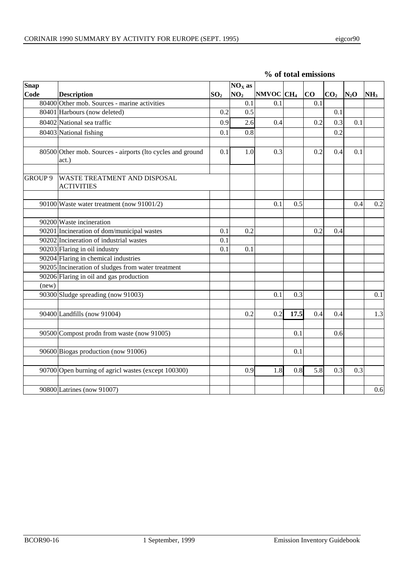| <b>Snap</b>    |                                                                     |                 | $NOX$ as        |                       |      |     |                 |        |                 |
|----------------|---------------------------------------------------------------------|-----------------|-----------------|-----------------------|------|-----|-----------------|--------|-----------------|
| Code           | <b>Description</b>                                                  | SO <sub>2</sub> | NO <sub>2</sub> | NMVOC CH <sub>4</sub> |      | CO  | CO <sub>2</sub> | $N_2O$ | NH <sub>3</sub> |
|                | 80400 Other mob. Sources - marine activities                        |                 | 0.1             | 0.1                   |      | 0.1 |                 |        |                 |
|                | 80401 Harbours (now deleted)                                        | 0.2             | 0.5             |                       |      |     | 0.1             |        |                 |
|                | 80402 National sea traffic                                          | 0.9             | 2.6             | 0.4                   |      | 0.2 | 0.3             | 0.1    |                 |
|                | 80403 National fishing                                              | 0.1             | 0.8             |                       |      |     | 0.2             |        |                 |
|                | 80500 Other mob. Sources - airports (lto cycles and ground<br>act.) | 0.1             | 1.0             | 0.3                   |      | 0.2 | 0.4             | 0.1    |                 |
| <b>GROUP 9</b> | WASTE TREATMENT AND DISPOSAL<br><b>ACTIVITIES</b>                   |                 |                 |                       |      |     |                 |        |                 |
|                | 90100 Waste water treatment (now 91001/2)                           |                 |                 | 0.1                   | 0.5  |     |                 | 0.4    | 0.2             |
|                |                                                                     |                 |                 |                       |      |     |                 |        |                 |
|                | 90200 Waste incineration                                            |                 |                 |                       |      |     |                 |        |                 |
|                | 90201 Incineration of dom/municipal wastes                          | 0.1             | 0.2             |                       |      | 0.2 | 0.4             |        |                 |
|                | 90202 Incineration of industrial wastes                             | 0.1             |                 |                       |      |     |                 |        |                 |
|                | 90203 Flaring in oil industry                                       | 0.1             | 0.1             |                       |      |     |                 |        |                 |
|                | 90204 Flaring in chemical industries                                |                 |                 |                       |      |     |                 |        |                 |
|                | 90205 Incineration of sludges from water treatment                  |                 |                 |                       |      |     |                 |        |                 |
|                | 90206 Flaring in oil and gas production                             |                 |                 |                       |      |     |                 |        |                 |
| (new)          |                                                                     |                 |                 |                       |      |     |                 |        |                 |
|                | 90300 Sludge spreading (now 91003)                                  |                 |                 | 0.1                   | 0.3  |     |                 |        | 0.1             |
|                | 90400 Landfills (now 91004)                                         |                 | 0.2             | 0.2                   | 17.5 | 0.4 | 0.4             |        | 1.3             |
|                |                                                                     |                 |                 |                       |      |     |                 |        |                 |

90500 Compost prodn from waste (now 91005) (and 1 0.1 0.6

90700 Open burning of agricl wastes (except 100300)  $\vert$  0.9 1.8 0.8 5.8 0.3 0.3 0.3

90800 Latrines (now 91007) 0.6

90600 Biogas production (now 91006) 0.1

#### **% of total emissions**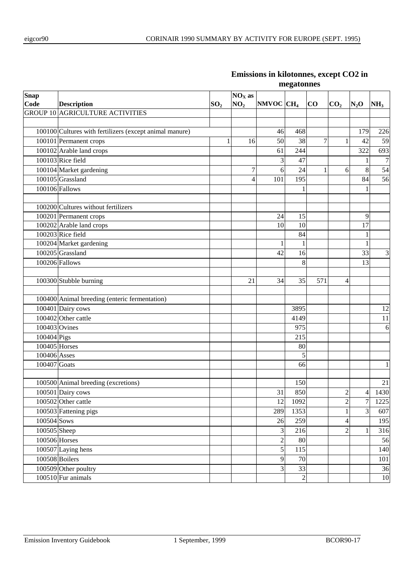| <b>Snap</b>                |                                                         |                 | $NOX$ as        |                       |                |                |                          |                          |                  |
|----------------------------|---------------------------------------------------------|-----------------|-----------------|-----------------------|----------------|----------------|--------------------------|--------------------------|------------------|
| Code                       | <b>Description</b>                                      | SO <sub>2</sub> | NO <sub>2</sub> | NMVOC CH <sub>4</sub> |                | $\bf{CO}$      | CO <sub>2</sub>          | $N_2O$                   | NH <sub>3</sub>  |
|                            | <b>GROUP 10 AGRICULTURE ACTIVITIES</b>                  |                 |                 |                       |                |                |                          |                          |                  |
|                            |                                                         |                 |                 |                       |                |                |                          |                          |                  |
|                            | 100100 Cultures with fertilizers (except animal manure) |                 |                 | 46                    | 468            |                |                          | 179                      | 226              |
|                            | 100101 Permanent crops                                  | 1               | 16              | 50                    | 38             | $\overline{7}$ | 1                        | 42                       | 59               |
|                            | $100102$ Arable land crops                              |                 |                 | 61                    | 244            |                |                          | 322                      | 693              |
|                            | 100103 Rice field                                       |                 |                 | 3                     | 47             |                |                          | 1                        | $\boldsymbol{7}$ |
|                            | 100104 Market gardening                                 |                 | 7               | 6                     | 24             | $\mathbf{1}$   | 6                        | $\,8\,$                  | 54               |
|                            | 100105 Grassland                                        |                 | 4               | 101                   | 195            |                |                          | 84                       | 56               |
|                            | 100106 Fallows                                          |                 |                 |                       | 1              |                |                          | 1                        |                  |
|                            |                                                         |                 |                 |                       |                |                |                          |                          |                  |
|                            | 100200 Cultures without fertilizers                     |                 |                 |                       |                |                |                          |                          |                  |
|                            | 100201 Permanent crops                                  |                 |                 | 24                    | 15             |                |                          | 9                        |                  |
|                            | 100202 Arable land crops                                |                 |                 | 10                    | 10             |                |                          | 17                       |                  |
|                            | 100203 Rice field                                       |                 |                 |                       | 84             |                |                          | 1                        |                  |
|                            | 100204 Market gardening                                 |                 |                 | 1                     | $\mathbf{1}$   |                |                          | $\mathbf{1}$             |                  |
|                            | 100205 Grassland                                        |                 |                 | 42                    | 16             |                |                          | 33                       | 3                |
|                            | 100206 Fallows                                          |                 |                 |                       | 8              |                |                          | 13                       |                  |
|                            |                                                         |                 |                 |                       |                |                |                          |                          |                  |
|                            | 100300 Stubble burning                                  |                 | 21              | 34                    | 35             | 571            | 4                        |                          |                  |
|                            |                                                         |                 |                 |                       |                |                |                          |                          |                  |
|                            | 100400 Animal breeding (enteric fermentation)           |                 |                 |                       |                |                |                          |                          |                  |
|                            | 100401 Dairy cows                                       |                 |                 |                       | 3895           |                |                          |                          | 12               |
|                            | 100402 Other cattle                                     |                 |                 |                       | 4149           |                |                          |                          | 11               |
| 100403 Ovines              |                                                         |                 |                 |                       | 975            |                |                          |                          | 6                |
| 100404 Pigs                |                                                         |                 |                 |                       | 215            |                |                          |                          |                  |
| 100405 Horses              |                                                         |                 |                 |                       | 80             |                |                          |                          |                  |
| 100406 Asses               |                                                         |                 |                 |                       | 5              |                |                          |                          |                  |
| 100407 Goats               |                                                         |                 |                 |                       | 66             |                |                          |                          | 1                |
|                            |                                                         |                 |                 |                       |                |                |                          |                          |                  |
|                            | 100500 Animal breeding (excretions)                     |                 |                 |                       | 150            |                |                          |                          | 21               |
|                            | 100501 Dairy cows                                       |                 |                 | 31                    | 850            |                | $\overline{c}$           | $\overline{\mathcal{A}}$ | 1430             |
|                            | 100502 Other cattle                                     |                 |                 | 12                    | 1092           |                | $\overline{\mathbf{c}}$  | 7                        | 1225             |
|                            | 100503 Fattening pigs                                   |                 |                 | 289                   | 1353           |                | 1                        | 3                        | 607              |
| 100504 Sows                |                                                         |                 |                 | 26                    | 259            |                | $\overline{\mathcal{L}}$ |                          | 195              |
| 100505 Sheep               |                                                         |                 |                 | $\overline{3}$        | 216            |                | $\overline{2}$           | $\mathbf{1}$             | 316              |
| $\overline{100506}$ Horses |                                                         |                 |                 | $\sqrt{2}$            | 80             |                |                          |                          | 56               |
|                            | 100507 Laying hens                                      |                 |                 | 5                     | 115            |                |                          |                          | 140              |
|                            | 100508 Boilers                                          |                 |                 | $\overline{9}$        | 70             |                |                          |                          | 101              |
|                            | 100509 Other poultry                                    |                 |                 | 3                     | 33             |                |                          |                          | 36               |
|                            | 100510 Fur animals                                      |                 |                 |                       | $\overline{2}$ |                |                          |                          | $10\,$           |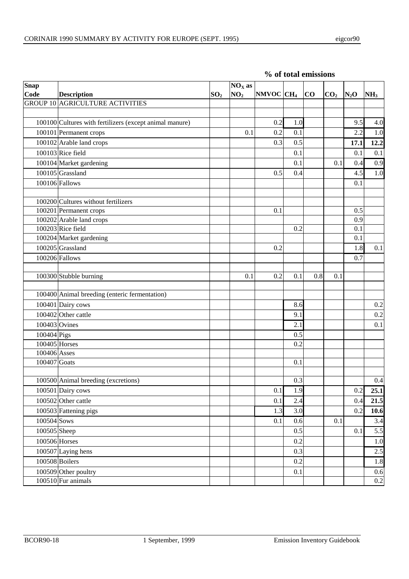| Snap          |                                                         |                 | $NOX$ as        |                           |     |     |                 |         |                 |
|---------------|---------------------------------------------------------|-----------------|-----------------|---------------------------|-----|-----|-----------------|---------|-----------------|
| Code          | <b>Description</b>                                      | SO <sub>2</sub> | NO <sub>2</sub> | NMVOC CH <sub>4</sub>  CO |     |     | CO <sub>2</sub> | $N_2$ O | NH <sub>3</sub> |
|               | <b>GROUP 10 AGRICULTURE ACTIVITIES</b>                  |                 |                 |                           |     |     |                 |         |                 |
|               |                                                         |                 |                 |                           |     |     |                 |         |                 |
|               | 100100 Cultures with fertilizers (except animal manure) |                 |                 | 0.2                       | 1.0 |     |                 | 9.5     | 4.0             |
|               | 100101 Permanent crops                                  |                 | 0.1             | 0.2                       | 0.1 |     |                 | 2.2     | 1.0             |
|               | 100102 Arable land crops                                |                 |                 | 0.3                       | 0.5 |     |                 | 17.1    | 12.2            |
|               | 100103 Rice field                                       |                 |                 |                           | 0.1 |     |                 | 0.1     | 0.1             |
|               | 100104 Market gardening                                 |                 |                 |                           | 0.1 |     | 0.1             | 0.4     | 0.9             |
|               | 100105 Grassland                                        |                 |                 | 0.5                       | 0.4 |     |                 | 4.5     | 1.0             |
|               | 100106 Fallows                                          |                 |                 |                           |     |     |                 | 0.1     |                 |
|               |                                                         |                 |                 |                           |     |     |                 |         |                 |
|               | 100200 Cultures without fertilizers                     |                 |                 |                           |     |     |                 |         |                 |
|               | 100201 Permanent crops                                  |                 |                 | 0.1                       |     |     |                 | 0.5     |                 |
|               | 100202 Arable land crops                                |                 |                 |                           |     |     |                 | 0.9     |                 |
|               | $100203$ Rice field                                     |                 |                 |                           | 0.2 |     |                 | 0.1     |                 |
|               | 100204 Market gardening                                 |                 |                 |                           |     |     |                 | 0.1     |                 |
|               | 100205 Grassland                                        |                 |                 | 0.2                       |     |     |                 | 1.8     | 0.1             |
|               | 100206 Fallows                                          |                 |                 |                           |     |     |                 | 0.7     |                 |
|               |                                                         |                 |                 |                           |     |     |                 |         |                 |
|               | 100300 Stubble burning                                  |                 | 0.1             | 0.2                       | 0.1 | 0.8 | 0.1             |         |                 |
|               |                                                         |                 |                 |                           |     |     |                 |         |                 |
|               | 100400 Animal breeding (enteric fermentation)           |                 |                 |                           |     |     |                 |         |                 |
|               | 100401 Dairy cows                                       |                 |                 |                           | 8.6 |     |                 |         | 0.2             |
|               | 100402 Other cattle                                     |                 |                 |                           | 9.1 |     |                 |         | 0.2             |
| 100403 Ovines |                                                         |                 |                 |                           | 2.1 |     |                 |         | 0.1             |
| 100404 Pigs   |                                                         |                 |                 |                           | 0.5 |     |                 |         |                 |
| 100405 Horses |                                                         |                 |                 |                           | 0.2 |     |                 |         |                 |
| 100406 Asses  |                                                         |                 |                 |                           |     |     |                 |         |                 |
| 100407 Goats  |                                                         |                 |                 |                           | 0.1 |     |                 |         |                 |
|               |                                                         |                 |                 |                           | 0.3 |     |                 |         | 0.4             |
|               | 100500 Animal breeding (excretions)                     |                 |                 |                           | 1.9 |     |                 |         | 25.1            |
|               | 100501 Dairy cows                                       |                 |                 | $0.1\,$                   |     |     |                 | 0.2     |                 |
|               | 100502 Other cattle                                     |                 |                 | 0.1                       | 2.4 |     |                 | 0.4     | 21.5            |
|               | 100503 Fattening pigs                                   |                 |                 | 1.3                       | 3.0 |     |                 | 0.2     | 10.6            |
| 100504 Sows   |                                                         |                 |                 | 0.1                       | 0.6 |     | 0.1             |         | 3.4             |
| 100505 Sheep  |                                                         |                 |                 |                           | 0.5 |     |                 | 0.1     | 5.5             |
| 100506 Horses |                                                         |                 |                 |                           | 0.2 |     |                 |         | 1.0             |
|               | 100507 Laying hens                                      |                 |                 |                           | 0.3 |     |                 |         | 2.5             |
|               | 100508 Boilers                                          |                 |                 |                           | 0.2 |     |                 |         | 1.8             |
|               | 100509 Other poultry                                    |                 |                 |                           | 0.1 |     |                 |         | $0.6\,$         |
|               | $100510$ Fur animals                                    |                 |                 |                           |     |     |                 |         | $0.2\,$         |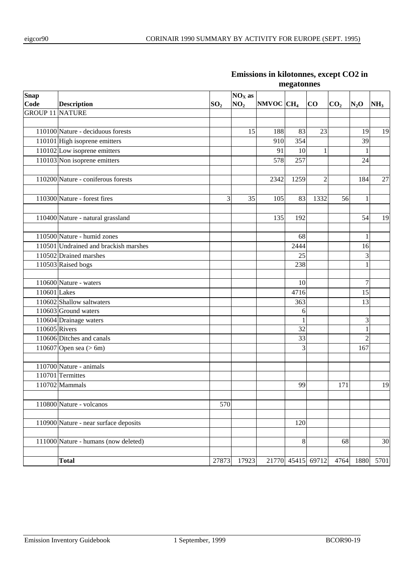| <b>Snap</b>            |                                       |                 | $NOX$ as        |                       |                   |                |                 |                  |                 |
|------------------------|---------------------------------------|-----------------|-----------------|-----------------------|-------------------|----------------|-----------------|------------------|-----------------|
| Code                   | <b>Description</b>                    | SO <sub>2</sub> | NO <sub>2</sub> | NMVOC CH <sub>4</sub> |                   | CO             | CO <sub>2</sub> | $N_2O$           | NH <sub>3</sub> |
| <b>GROUP 11 NATURE</b> |                                       |                 |                 |                       |                   |                |                 |                  |                 |
|                        |                                       |                 |                 |                       |                   |                |                 |                  |                 |
|                        | 110100 Nature - deciduous forests     |                 | 15              | 188                   | 83                | 23             |                 | 19               | 19              |
|                        | 110101 High isoprene emitters         |                 |                 | 910                   | 354               |                |                 | 39               |                 |
|                        | 110102 Low isoprene emitters          |                 |                 | 91                    | 10                | $\mathbf{1}$   |                 |                  |                 |
|                        | $110103$ Non isoprene emitters        |                 |                 | 578                   | 257               |                |                 | 24               |                 |
|                        |                                       |                 |                 |                       |                   |                |                 |                  |                 |
|                        | 110200 Nature - coniferous forests    |                 |                 | 2342                  | 1259              | $\overline{c}$ |                 | 184              | 27              |
|                        |                                       |                 |                 |                       |                   |                |                 |                  |                 |
|                        | 110300 Nature - forest fires          | 3               | 35              | 105                   | 83                | 1332           | 56              | $\mathbf{1}$     |                 |
|                        |                                       |                 |                 |                       |                   |                |                 |                  |                 |
|                        | 110400 Nature - natural grassland     |                 |                 | 135                   | 192               |                |                 | 54               | 19              |
|                        |                                       |                 |                 |                       |                   |                |                 |                  |                 |
|                        | 110500 Nature - humid zones           |                 |                 |                       | 68                |                |                 | 1                |                 |
|                        | 110501 Undrained and brackish marshes |                 |                 |                       | 2444              |                |                 | 16               |                 |
|                        | $110502$ Drained marshes              |                 |                 |                       | 25                |                |                 | 3                |                 |
|                        | 110503 Raised bogs                    |                 |                 |                       | 238               |                |                 | $\mathbf{1}$     |                 |
|                        |                                       |                 |                 |                       |                   |                |                 |                  |                 |
|                        | 110600 Nature - waters                |                 |                 |                       | 10                |                |                 | $\boldsymbol{7}$ |                 |
| 110601 Lakes           |                                       |                 |                 |                       | 4716              |                |                 | 15               |                 |
|                        | 110602 Shallow saltwaters             |                 |                 |                       | 363               |                |                 | 13               |                 |
|                        | 110603 Ground waters                  |                 |                 |                       | 6                 |                |                 |                  |                 |
|                        | 110604 Drainage waters                |                 |                 |                       | 1                 |                |                 | 3                |                 |
| 110605 Rivers          |                                       |                 |                 |                       | 32                |                |                 | $\mathbf{1}$     |                 |
|                        | 110606 Ditches and canals             |                 |                 |                       | 33                |                |                 | $\overline{2}$   |                 |
|                        | $\overline{110607}$ Open sea (> 6m)   |                 |                 |                       | 3                 |                |                 | 167              |                 |
|                        |                                       |                 |                 |                       |                   |                |                 |                  |                 |
|                        | 110700 Nature - animals               |                 |                 |                       |                   |                |                 |                  |                 |
|                        | 110701 Termittes                      |                 |                 |                       |                   |                |                 |                  |                 |
|                        | 110702 Mammals                        |                 |                 |                       | 99                |                | 171             |                  | 19              |
|                        |                                       |                 |                 |                       |                   |                |                 |                  |                 |
|                        | 110800 Nature - volcanos              | 570             |                 |                       |                   |                |                 |                  |                 |
|                        |                                       |                 |                 |                       |                   |                |                 |                  |                 |
|                        | 110900 Nature - near surface deposits |                 |                 |                       | 120               |                |                 |                  |                 |
|                        |                                       |                 |                 |                       |                   |                |                 |                  |                 |
|                        | 111000 Nature - humans (now deleted)  |                 |                 |                       | $\,8\,$           |                | 68              |                  | 30              |
|                        |                                       |                 |                 |                       |                   |                |                 |                  |                 |
|                        | <b>Total</b>                          | 27873           | 17923           |                       | 21770 45415 69712 |                | 4764            | 1880             | 5701            |